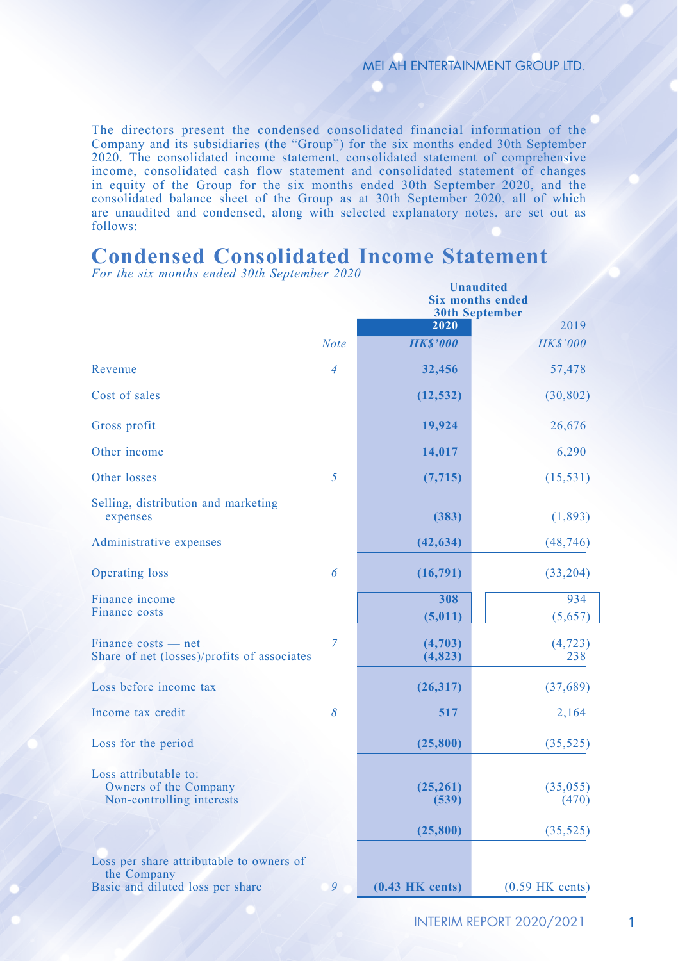The directors present the condensed consolidated financial information of the Company and its subsidiaries (the "Group") for the six months ended 30th September 2020. The consolidated income statement, consolidated statement of comprehensive income, consolidated cash flow statement and consolidated statement of changes in equity of the Group for the six months ended 30th September 2020, and the consolidated balance sheet of the Group as at 30th September 2020, all of which are unaudited and condensed, along with selected explanatory notes, are set out as follows:

### **Condensed Consolidated Income Statement**

|                                                                                             |             | <b>Unaudited</b><br><b>Six months ended</b><br><b>30th September</b> |                   |  |  |
|---------------------------------------------------------------------------------------------|-------------|----------------------------------------------------------------------|-------------------|--|--|
|                                                                                             |             | 2020                                                                 | 2019              |  |  |
|                                                                                             | <b>Note</b> | <b>HKS'000</b>                                                       | <b>HK\$'000</b>   |  |  |
| Revenue                                                                                     | 4           | 32,456                                                               | 57,478            |  |  |
| Cost of sales                                                                               |             | (12, 532)                                                            | (30, 802)         |  |  |
| Gross profit                                                                                |             | 19,924                                                               | 26,676            |  |  |
| Other income                                                                                |             | 14,017                                                               | 6,290             |  |  |
| Other losses                                                                                | 5           | (7, 715)                                                             | (15, 531)         |  |  |
| Selling, distribution and marketing<br>expenses                                             |             | (383)                                                                | (1,893)           |  |  |
| Administrative expenses                                                                     |             | (42, 634)                                                            | (48, 746)         |  |  |
| Operating loss                                                                              | 6           | (16,791)                                                             | (33,204)          |  |  |
| Finance income<br>Finance costs                                                             |             | 308<br>(5,011)                                                       | 934<br>(5,657)    |  |  |
| Finance costs — net<br>Share of net (losses)/profits of associates                          | 7           | (4,703)<br>(4, 823)                                                  | (4, 723)<br>238   |  |  |
| Loss before income tax                                                                      |             | (26,317)                                                             | (37,689)          |  |  |
| Income tax credit                                                                           | 8           | 517                                                                  | 2,164             |  |  |
| Loss for the period                                                                         |             | (25, 800)                                                            | (35, 525)         |  |  |
| Loss attributable to:<br>Owners of the Company<br>Non-controlling interests                 |             | (25,261)<br>(539)                                                    | (35,055)<br>(470) |  |  |
|                                                                                             |             | (25, 800)                                                            | (35, 525)         |  |  |
| Loss per share attributable to owners of<br>the Company<br>Basic and diluted loss per share | 9           | $(0.43$ HK cents)                                                    | $(0.59$ HK cents) |  |  |

*For the six months ended 30th September 2020*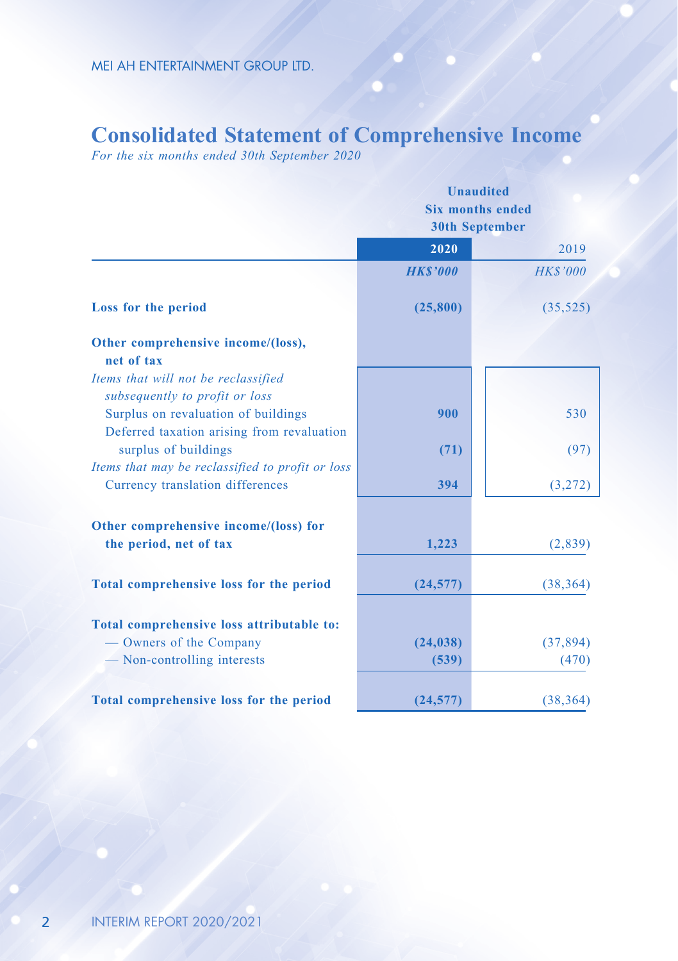## **Consolidated Statement of Comprehensive Income**

*For the six months ended 30th September 2020*

|                                                                                   | Unaudited<br><b>Six months ended</b><br><b>30th September</b> |                |  |  |
|-----------------------------------------------------------------------------------|---------------------------------------------------------------|----------------|--|--|
|                                                                                   | 2020                                                          | 2019           |  |  |
|                                                                                   | <b>HK\$'000</b>                                               | <b>HKS'000</b> |  |  |
| Loss for the period                                                               | (25,800)                                                      | (35, 525)      |  |  |
| Other comprehensive income/(loss),<br>net of tax                                  |                                                               |                |  |  |
| Items that will not be reclassified<br>subsequently to profit or loss             |                                                               |                |  |  |
| Surplus on revaluation of buildings<br>Deferred taxation arising from revaluation | 900                                                           | 530            |  |  |
| surplus of buildings<br>Items that may be reclassified to profit or loss          | (71)                                                          | (97)           |  |  |
| Currency translation differences                                                  | 394                                                           | (3,272)        |  |  |
| Other comprehensive income/(loss) for                                             |                                                               |                |  |  |
| the period, net of tax                                                            | 1,223                                                         | (2,839)        |  |  |
| <b>Total comprehensive loss for the period</b>                                    | (24, 577)                                                     | (38, 364)      |  |  |
| Total comprehensive loss attributable to:                                         |                                                               |                |  |  |
| — Owners of the Company                                                           | (24, 038)                                                     | (37, 894)      |  |  |
| - Non-controlling interests                                                       | (539)                                                         | (470)          |  |  |
| Total comprehensive loss for the period                                           | (24, 577)                                                     | (38, 364)      |  |  |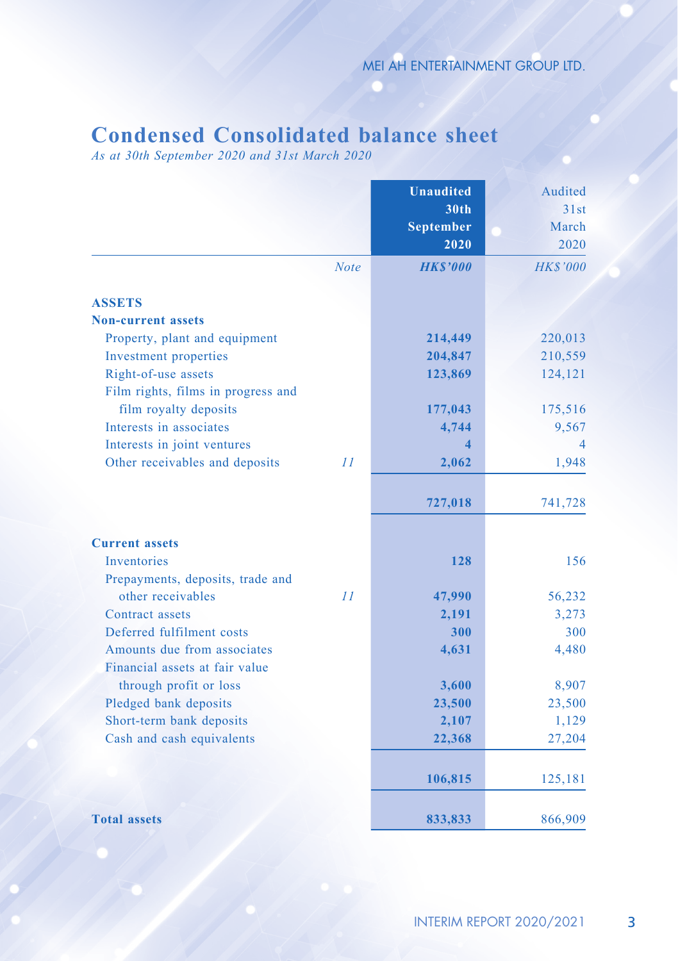# **Condensed Consolidated balance sheet**

*As at 30th September 2020 and 31st March 2020*

|                                    |             | <b>Unaudited</b>        | Audited         |
|------------------------------------|-------------|-------------------------|-----------------|
|                                    |             | <b>30th</b>             | 31st            |
|                                    |             | <b>September</b>        | March           |
|                                    |             | 2020                    | 2020            |
|                                    | <b>Note</b> | <b>HK\$'000</b>         | <b>HK\$'000</b> |
| <b>ASSETS</b>                      |             |                         |                 |
| <b>Non-current assets</b>          |             |                         |                 |
| Property, plant and equipment      |             | 214,449                 | 220,013         |
| Investment properties              |             | 204,847                 | 210,559         |
| Right-of-use assets                |             | 123,869                 | 124,121         |
| Film rights, films in progress and |             |                         |                 |
| film royalty deposits              |             | 177,043                 | 175,516         |
| Interests in associates            |             | 4,744                   | 9,567           |
| Interests in joint ventures        |             | $\overline{\mathbf{4}}$ | 4               |
| Other receivables and deposits     | 11          | 2,062                   | 1,948           |
|                                    |             | 727,018                 | 741,728         |
|                                    |             |                         |                 |
| <b>Current assets</b>              |             |                         |                 |
| <b>Inventories</b>                 |             | 128                     | 156             |
| Prepayments, deposits, trade and   |             |                         |                 |
| other receivables                  | 11          | 47,990                  | 56,232          |
| Contract assets                    |             | 2,191                   | 3,273           |
| Deferred fulfilment costs          |             | 300                     | 300             |
| Amounts due from associates        |             | 4,631                   | 4,480           |
| Financial assets at fair value     |             |                         |                 |
| through profit or loss             |             | 3,600                   | 8,907           |
| Pledged bank deposits              |             | 23,500                  | 23,500          |
| Short-term bank deposits           |             | 2,107                   | 1,129           |
| Cash and cash equivalents          |             | 22,368                  | 27,204          |
|                                    |             | 106,815                 | 125,181         |
|                                    |             |                         |                 |
| <b>Total assets</b>                |             | 833,833                 | 866,909         |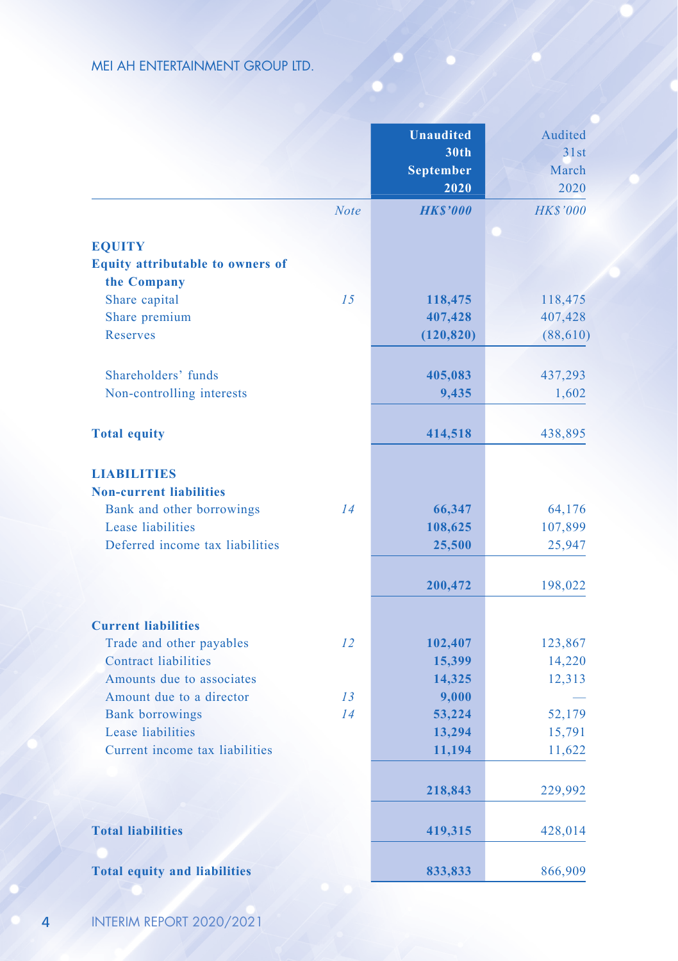|                                     |             | <b>Unaudited</b> | Audited         |
|-------------------------------------|-------------|------------------|-----------------|
|                                     |             | 30th             | 31st            |
|                                     |             | <b>September</b> | March           |
|                                     |             | 2020             | 2020            |
|                                     | <b>Note</b> | <b>HKS'000</b>   | <b>HK\$'000</b> |
| <b>EOUITY</b>                       |             |                  |                 |
| Equity attributable to owners of    |             |                  |                 |
| the Company                         |             |                  |                 |
| Share capital                       | 15          | 118,475          | 118,475         |
| Share premium                       |             | 407,428          | 407,428         |
| <b>Reserves</b>                     |             | (120, 820)       | (88,610)        |
| Shareholders' funds                 |             | 405,083          | 437,293         |
| Non-controlling interests           |             | 9,435            | 1,602           |
|                                     |             |                  |                 |
| <b>Total equity</b>                 |             | 414,518          | 438,895         |
| <b>LIABILITIES</b>                  |             |                  |                 |
| <b>Non-current liabilities</b>      |             |                  |                 |
| Bank and other borrowings           | 14          | 66,347           | 64,176          |
| Lease liabilities                   |             | 108,625          | 107,899         |
| Deferred income tax liabilities     |             | 25,500           | 25,947          |
|                                     |             | 200,472          | 198,022         |
| <b>Current liabilities</b>          |             |                  |                 |
| Trade and other payables            | 12          | 102,407          | 123,867         |
| <b>Contract liabilities</b>         |             | 15,399           | 14,220          |
| Amounts due to associates           |             | 14,325           | 12,313          |
| Amount due to a director            | 13          | 9,000            |                 |
| <b>Bank borrowings</b>              | 14          | 53,224           | 52,179          |
| Lease liabilities                   |             | 13,294           | 15,791          |
| Current income tax liabilities      |             | 11,194           | 11,622          |
|                                     |             | 218,843          | 229,992         |
| <b>Total liabilities</b>            |             | 419,315          | 428,014         |
| <b>Total equity and liabilities</b> |             | 833,833          | 866,909         |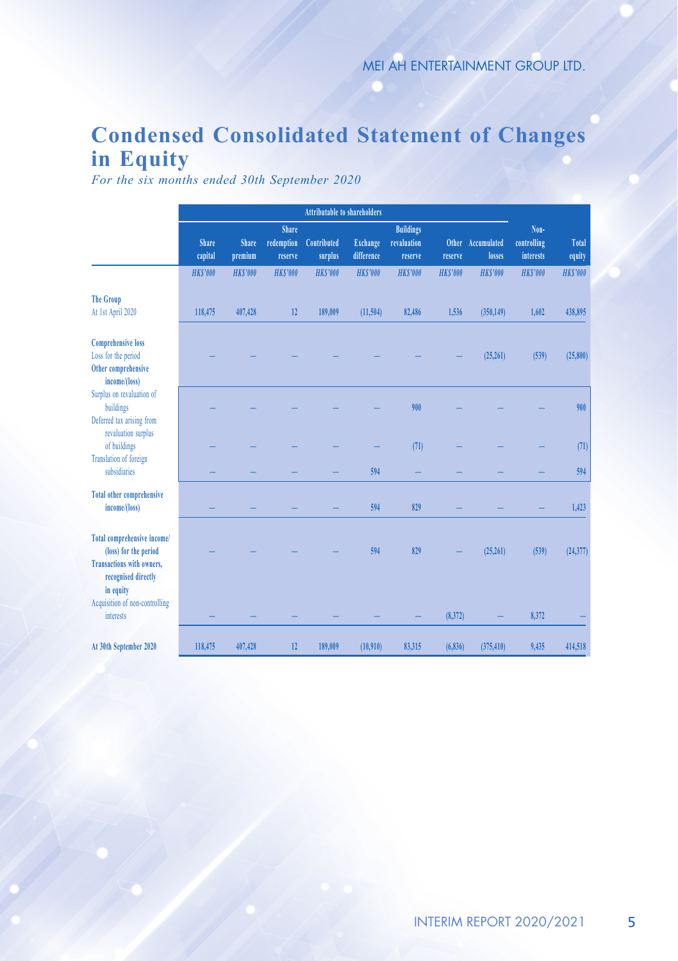# **Condensed Consolidated Statement of Changes in Equity**

*For the six months ended 30th September 2020*

|                                                                                                                              | <b>Attributable to shareholders</b> |                         |                                       |                        |                               |                                            |                |                             |                                  |                 |
|------------------------------------------------------------------------------------------------------------------------------|-------------------------------------|-------------------------|---------------------------------------|------------------------|-------------------------------|--------------------------------------------|----------------|-----------------------------|----------------------------------|-----------------|
|                                                                                                                              | <b>Share</b><br>capital             | <b>Share</b><br>premium | <b>Share</b><br>redemption<br>reserve | Contributed<br>surplus | <b>Exchange</b><br>difference | <b>Buildings</b><br>revaluation<br>reserve | reserve        | Other Accumulated<br>losses | Non-<br>controlling<br>interests | Total<br>equity |
|                                                                                                                              | <b>HKS'000</b>                      | <b>HKS'000</b>          | <b>HKS'000</b>                        | <b>HKS'000</b>         | <b>HKS'000</b>                | <b>HKS'000</b>                             | <b>HKS'000</b> | <b>HKS'000</b>              | <b>HKS'000</b>                   | <b>HKS'000</b>  |
| <b>The Group</b><br>At 1st April 2020                                                                                        | 118,475                             | 407,428                 | 12                                    | 189,009                | (11,504)                      | 82,486                                     | 1.536          | (350, 149)                  | 1,602                            | 438,895         |
| <b>Comprehensive loss</b><br>Loss for the period<br>Other comprehensive<br>income/(loss)                                     |                                     |                         |                                       |                        |                               |                                            |                | (25,261)                    | (539)                            | (25, 800)       |
| Surplus on revaluation of<br>buildings<br>Deferred tax arising from<br>revaluation surplus                                   |                                     |                         |                                       |                        |                               | 900                                        |                |                             |                                  | 900             |
| of buildings                                                                                                                 |                                     |                         |                                       |                        |                               | (71)                                       |                |                             |                                  | (71)            |
| Translation of foreign<br>subsidiaries                                                                                       |                                     |                         |                                       |                        | 594                           |                                            |                |                             |                                  | 594             |
| <b>Total other comprehensive</b><br>income/(loss)                                                                            |                                     |                         |                                       |                        | 594                           | 829                                        |                |                             |                                  | 1,423           |
| Total comprehensive income/<br>(loss) for the period<br><b>Transactions with owners.</b><br>recognised directly<br>in equity |                                     |                         |                                       |                        | 594                           | 829                                        |                | (25,261)                    | (539)                            | (24, 377)       |
| Acquisition of non-controlling<br>interests                                                                                  |                                     |                         |                                       |                        |                               |                                            | (8,372)        |                             | 8.372                            |                 |
| At 30th September 2020                                                                                                       | 118,475                             | 407,428                 | 12                                    | 189,009                | (10.910)                      | 83,315                                     | (6,836)        | (375, 410)                  | 9,435                            | 414.518         |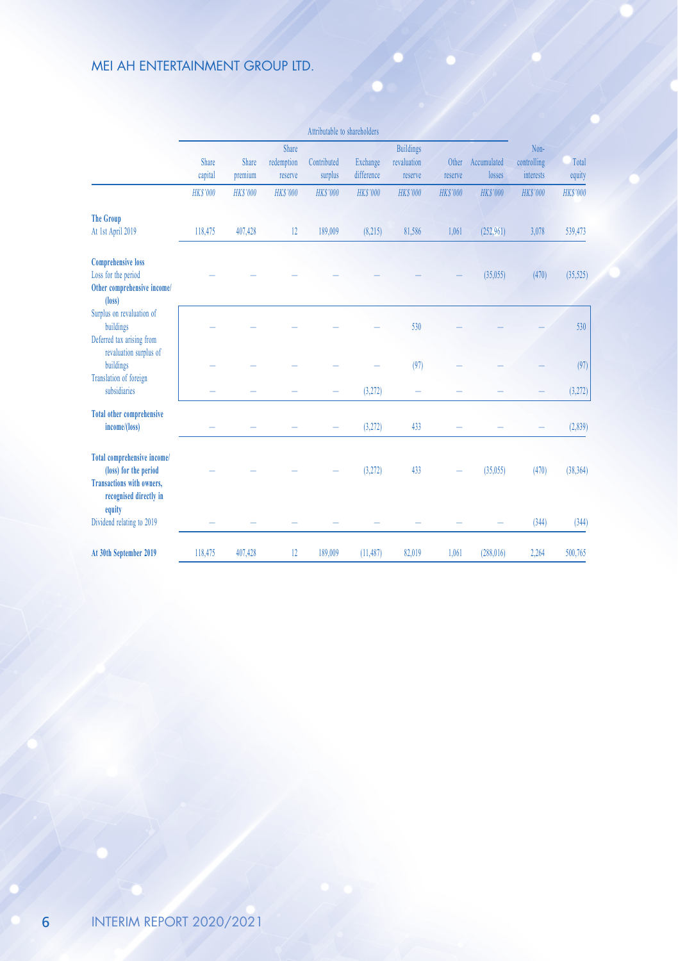|                                                                                                                    |                  |                  |                                | Attributable to shareholders |                               |                                            |                |                             |                                  |                 |
|--------------------------------------------------------------------------------------------------------------------|------------------|------------------|--------------------------------|------------------------------|-------------------------------|--------------------------------------------|----------------|-----------------------------|----------------------------------|-----------------|
|                                                                                                                    | Share<br>capital | Share<br>premium | Share<br>redemption<br>reserve | Contributed<br>surplus       | <b>Exchange</b><br>difference | <b>Buildings</b><br>revaluation<br>reserve | reserve        | Other Accumulated<br>losses | Non-<br>controlling<br>interests | Total<br>equity |
|                                                                                                                    | <b>HKS'000</b>   | <b>HKS'000</b>   | <b>HKS'000</b>                 | <b>HKS'000</b>               | <b>HKS'000</b>                | <b>HKS'000</b>                             | <b>HKS'000</b> | <b>HKS'000</b>              | <b>HKS'000</b>                   | <b>HKS'000</b>  |
| <b>The Group</b><br>At 1st April 2019                                                                              | 118,475          | 407,428          | 12                             | 189,009                      | (8,215)                       | 81,586                                     | 1,061          | (252.961)                   | 3,078                            | 539,473         |
| <b>Comprehensive loss</b><br>Loss for the period<br>Other comprehensive income/<br>$(\text{loss})$                 |                  |                  |                                |                              |                               |                                            |                | (35,055)                    | (470)                            | (35,525)        |
| Surplus on revaluation of<br>buildings<br>Deferred tax arising from<br>revaluation surplus of                      |                  |                  |                                |                              |                               | 530                                        |                |                             |                                  | 530             |
| buildings                                                                                                          |                  |                  |                                |                              |                               | (97)                                       |                |                             |                                  | (97)            |
| Translation of foreign<br>subsidiaries                                                                             |                  |                  |                                |                              | (3,272)                       |                                            |                |                             |                                  | (3,272)         |
| <b>Total other comprehensive</b><br>income/(loss)                                                                  |                  |                  |                                |                              | (3,272)                       | 433                                        |                |                             |                                  | (2,839)         |
| Total comprehensive income/<br>(loss) for the period<br><b>Transactions with owners,</b><br>recognised directly in |                  |                  |                                |                              | (3,272)                       | 433                                        |                | (35,055)                    | (470)                            | (38, 364)       |
| equity<br>Dividend relating to 2019                                                                                |                  |                  |                                |                              |                               |                                            |                |                             | (344)                            | (344)           |
| At 30th September 2019                                                                                             | 118,475          | 407,428          | 12                             | 189,009                      | (11.487)                      | 82,019                                     | 1,061          | (288.016)                   | 2,264                            | 500,765         |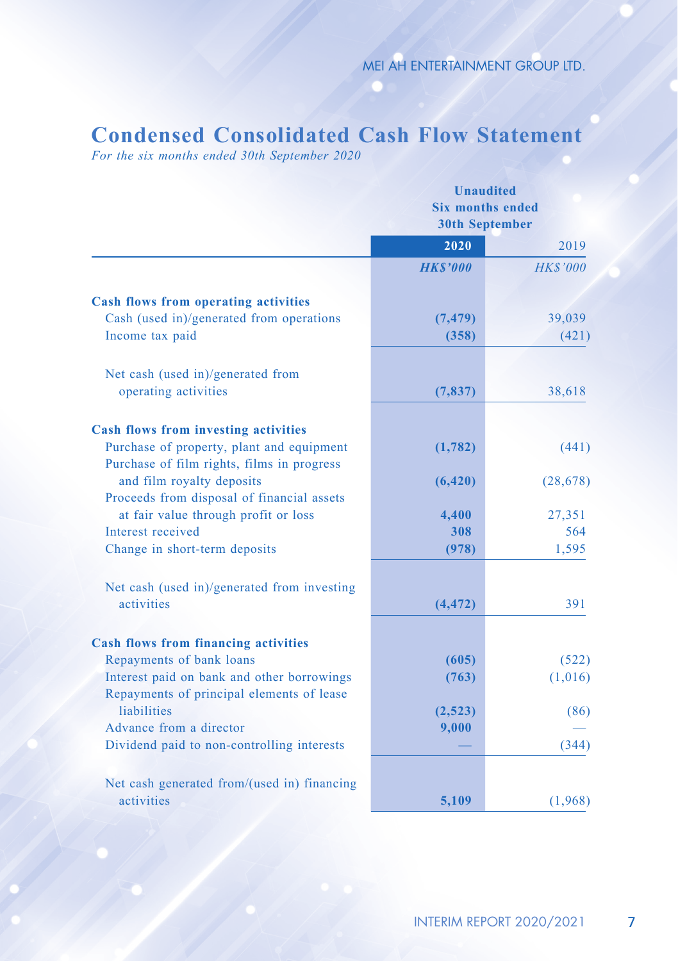# **Condensed Consolidated Cash Flow Statement**

*For the six months ended 30th September 2020*

|                                                                                         | <b>Unaudited</b><br><b>Six months ended</b><br><b>30th September</b> |                 |  |
|-----------------------------------------------------------------------------------------|----------------------------------------------------------------------|-----------------|--|
|                                                                                         | 2020                                                                 | 2019            |  |
|                                                                                         | <b>HK\$'000</b>                                                      | <b>HK\$'000</b> |  |
| <b>Cash flows from operating activities</b>                                             |                                                                      |                 |  |
| Cash (used in)/generated from operations                                                | (7, 479)                                                             | 39,039          |  |
| Income tax paid                                                                         | (358)                                                                | (421)           |  |
|                                                                                         |                                                                      |                 |  |
| Net cash (used in)/generated from                                                       |                                                                      |                 |  |
| operating activities                                                                    | (7, 837)                                                             | 38,618          |  |
|                                                                                         |                                                                      |                 |  |
| <b>Cash flows from investing activities</b>                                             |                                                                      |                 |  |
| Purchase of property, plant and equipment<br>Purchase of film rights, films in progress | (1,782)                                                              | (441)           |  |
| and film royalty deposits                                                               | (6, 420)                                                             | (28, 678)       |  |
| Proceeds from disposal of financial assets                                              |                                                                      |                 |  |
| at fair value through profit or loss                                                    | 4,400                                                                | 27,351          |  |
| Interest received                                                                       | 308                                                                  | 564             |  |
| Change in short-term deposits                                                           | (978)                                                                | 1,595           |  |
|                                                                                         |                                                                      |                 |  |
| Net cash (used in)/generated from investing<br>activities                               |                                                                      |                 |  |
|                                                                                         | (4, 472)                                                             | 391             |  |
| <b>Cash flows from financing activities</b>                                             |                                                                      |                 |  |
| Repayments of bank loans                                                                | (605)                                                                | (522)           |  |
| Interest paid on bank and other borrowings                                              | (763)                                                                | (1,016)         |  |
| Repayments of principal elements of lease                                               |                                                                      |                 |  |
| liabilities                                                                             | (2,523)                                                              | (86)            |  |
| Advance from a director                                                                 | 9,000                                                                |                 |  |
| Dividend paid to non-controlling interests                                              |                                                                      | (344)           |  |
| Net cash generated from/(used in) financing                                             |                                                                      |                 |  |
| activities                                                                              | 5.109                                                                | (1,968)         |  |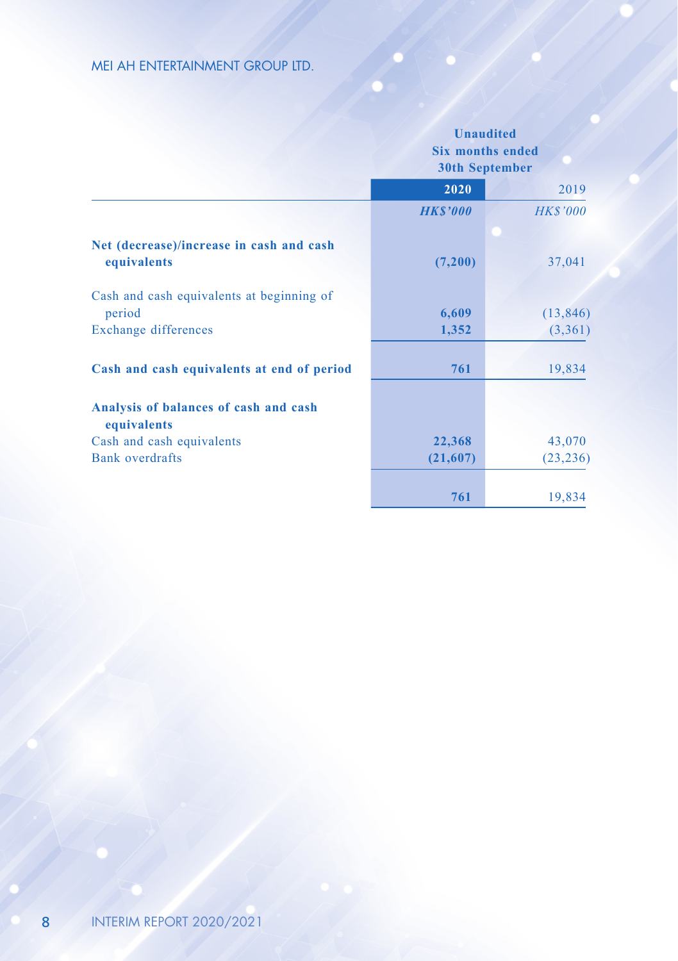|                                                         |                | <b>Unaudited</b><br><b>Six months ended</b><br><b>30th September</b> |
|---------------------------------------------------------|----------------|----------------------------------------------------------------------|
|                                                         | 2020           | 2019                                                                 |
|                                                         | <b>HKS'000</b> | <b>HK\$'000</b>                                                      |
| Net (decrease)/increase in cash and cash<br>equivalents | (7,200)        | 37,041                                                               |
| Cash and cash equivalents at beginning of<br>period     | 6,609          | (13, 846)                                                            |
| Exchange differences                                    | 1,352          | (3,361)                                                              |
| Cash and cash equivalents at end of period              | 761            | 19,834                                                               |
| Analysis of balances of cash and cash<br>equivalents    |                |                                                                      |
| Cash and cash equivalents                               | 22,368         | 43,070                                                               |
| Bank overdrafts                                         | (21,607)       | (23, 236)                                                            |
|                                                         | 761            | 19,834                                                               |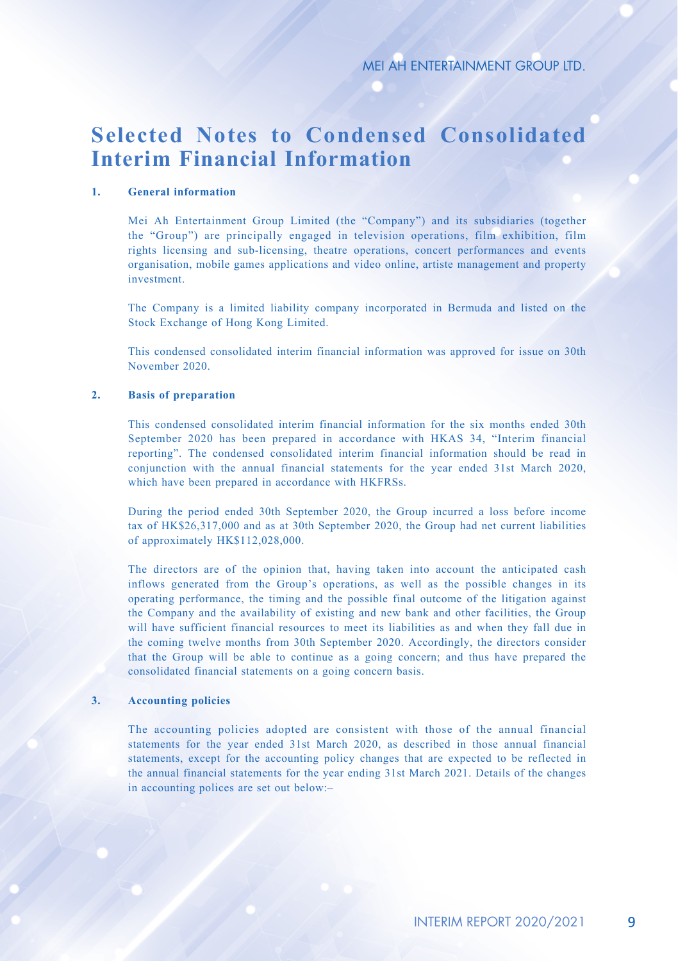# **Selected Notes to Condensed Consolidated Interim Financial Information**

#### **1. General information**

Mei Ah Entertainment Group Limited (the "Company") and its subsidiaries (together the "Group") are principally engaged in television operations, film exhibition, film rights licensing and sub-licensing, theatre operations, concert performances and events organisation, mobile games applications and video online, artiste management and property investment.

The Company is a limited liability company incorporated in Bermuda and listed on the Stock Exchange of Hong Kong Limited.

This condensed consolidated interim financial information was approved for issue on 30th November 2020.

#### **2. Basis of preparation**

This condensed consolidated interim financial information for the six months ended 30th September 2020 has been prepared in accordance with HKAS 34, "Interim financial reporting". The condensed consolidated interim financial information should be read in conjunction with the annual financial statements for the year ended 31st March 2020, which have been prepared in accordance with HKFRSs.

During the period ended 30th September 2020, the Group incurred a loss before income tax of HK\$26,317,000 and as at 30th September 2020, the Group had net current liabilities of approximately HK\$112,028,000.

The directors are of the opinion that, having taken into account the anticipated cash inflows generated from the Group's operations, as well as the possible changes in its operating performance, the timing and the possible final outcome of the litigation against the Company and the availability of existing and new bank and other facilities, the Group will have sufficient financial resources to meet its liabilities as and when they fall due in the coming twelve months from 30th September 2020. Accordingly, the directors consider that the Group will be able to continue as a going concern; and thus have prepared the consolidated financial statements on a going concern basis.

#### **3. Accounting policies**

The accounting policies adopted are consistent with those of the annual financial statements for the year ended 31st March 2020, as described in those annual financial statements, except for the accounting policy changes that are expected to be reflected in the annual financial statements for the year ending 31st March 2021. Details of the changes in accounting polices are set out below:–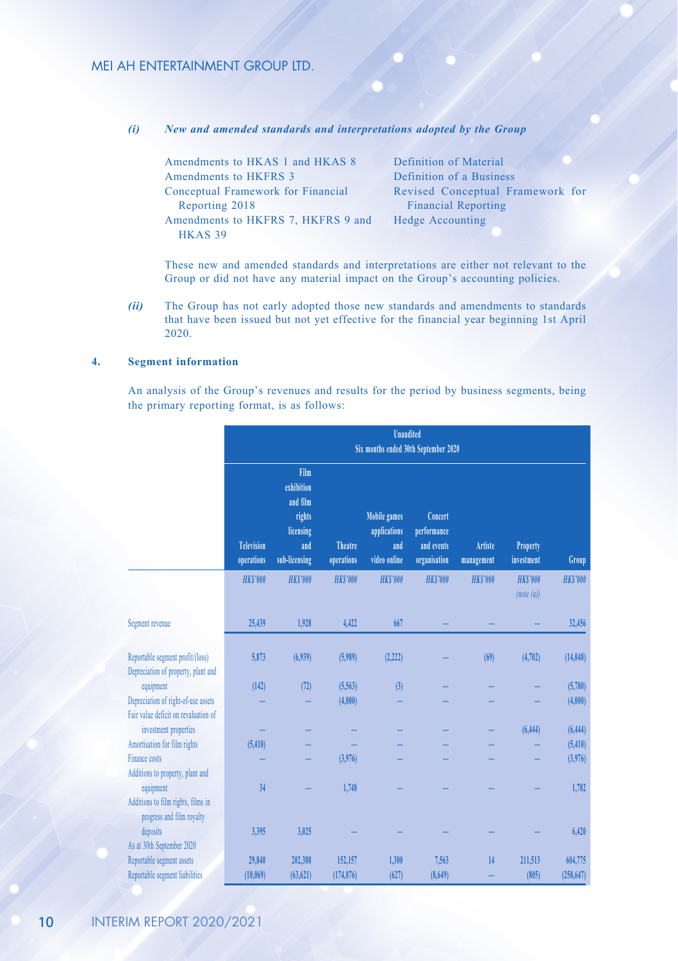*(i) New and amended standards and interpretations adopted by the Group*

| Amendments to HKAS 1 and HKAS 8    | Definition of Material           |
|------------------------------------|----------------------------------|
| Amendments to HKFRS 3              | Definition of a Business         |
| Conceptual Framework for Financial | Revised Conceptual Framework for |
| Reporting 2018                     | <b>Financial Reporting</b>       |
| Amendments to HKFRS 7, HKFRS 9 and | Hedge Accounting                 |
| HKAS <sub>39</sub>                 |                                  |
|                                    |                                  |

These new and amended standards and interpretations are either not relevant to the Group or did not have any material impact on the Group's accounting policies.

*(ii)* The Group has not early adopted those new standards and amendments to standards that have been issued but not yet effective for the financial year beginning 1st April 2020.

#### **4. Segment information**

An analysis of the Group's revenues and results for the period by business segments, being the primary reporting format, is as follows:

|                                                                         | <b>Unaudited</b><br>Six months ended 30th September 2020 |                                                                               |                              |                                                            |                                                      |                       |                               |                |  |  |
|-------------------------------------------------------------------------|----------------------------------------------------------|-------------------------------------------------------------------------------|------------------------------|------------------------------------------------------------|------------------------------------------------------|-----------------------|-------------------------------|----------------|--|--|
|                                                                         | <b>Television</b><br>operations                          | Film<br>exhibition<br>and film<br>rights<br>licensing<br>and<br>sub-licensing | <b>Theatre</b><br>operations | <b>Mobile games</b><br>applications<br>and<br>video online | Concert<br>performance<br>and events<br>organisation | Artiste<br>management | <b>Property</b><br>investment | Group          |  |  |
|                                                                         | <b>HKS'000</b>                                           | <b>HKS'000</b>                                                                | <b>HKS'000</b>               | <b>HKS'000</b>                                             | <b>HKS'000</b>                                       | <b>HKS'000</b>        | <b>HKS'000</b><br>(note(a))   | <b>HKS'000</b> |  |  |
| Segment revenue                                                         | 25,439                                                   | 1,928                                                                         | 4,422                        | 667                                                        |                                                      |                       |                               | 32,456         |  |  |
| Reportable segment profit/(loss)<br>Depreciation of property, plant and | 5,873                                                    | (6,939)                                                                       | (5,989)                      | (2, 222)                                                   |                                                      | (69)                  | (4, 702)                      | (14, 048)      |  |  |
| equipment                                                               | (142)                                                    | (72)                                                                          | (5,563)                      | (3)                                                        |                                                      |                       |                               | (5,780)        |  |  |
| Depreciation of right-of-use assets                                     |                                                          |                                                                               | (4,000)                      |                                                            |                                                      |                       |                               | (4,000)        |  |  |
| Fair value deficit on revaluation of                                    |                                                          |                                                                               |                              |                                                            |                                                      |                       |                               |                |  |  |
| investment properties                                                   |                                                          |                                                                               |                              |                                                            |                                                      |                       | (6, 444)                      | (6, 444)       |  |  |
| Amortisation for film rights                                            | (5, 410)                                                 |                                                                               |                              |                                                            |                                                      |                       |                               | (5,410)        |  |  |
| Finance costs                                                           |                                                          |                                                                               | (3,976)                      |                                                            |                                                      |                       |                               | (3,976)        |  |  |
| Additions to property, plant and                                        |                                                          |                                                                               |                              |                                                            |                                                      |                       |                               |                |  |  |
| equipment                                                               | 34                                                       |                                                                               | 1,748                        |                                                            |                                                      |                       |                               | 1,782          |  |  |
| Additions to film rights, films in<br>progress and film royalty         |                                                          |                                                                               |                              |                                                            |                                                      |                       |                               |                |  |  |
| deposits                                                                | 3,395                                                    | 3,025                                                                         |                              |                                                            |                                                      |                       |                               | 6,420          |  |  |
| As at 30th September 2020                                               |                                                          |                                                                               |                              |                                                            |                                                      |                       |                               |                |  |  |
| Reportable segment assets                                               | 29,840                                                   | 202,388                                                                       | 152,157                      | 1.300                                                      | 7.563                                                | 14                    | 211,513                       | 604,775        |  |  |
| Reportable segment liabilities                                          | (10,069)                                                 | (63, 621)                                                                     | (174, 876)                   | (627)                                                      | (8,649)                                              |                       | (805)                         | (258, 647)     |  |  |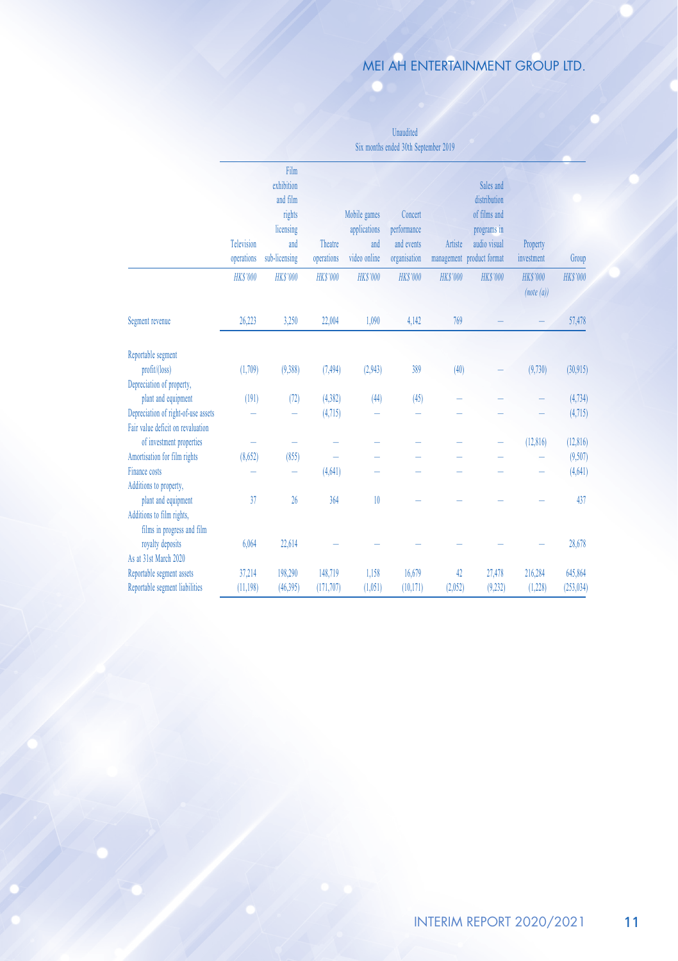Unaudited Six months ended 30th September 2019

|                                     |                   | Film<br>exhibition |                |                     |                           |                 | Sales and                 |                              |                 |
|-------------------------------------|-------------------|--------------------|----------------|---------------------|---------------------------|-----------------|---------------------------|------------------------------|-----------------|
|                                     |                   | and film           |                |                     |                           |                 | distribution              |                              |                 |
|                                     |                   |                    |                |                     | Concert                   |                 | of films and              |                              |                 |
|                                     |                   | rights             |                | Mobile games        |                           |                 |                           |                              |                 |
|                                     | <b>Television</b> | licensing<br>and   | Theatre        | applications<br>and | performance<br>and events |                 | programs in               |                              |                 |
|                                     |                   |                    |                |                     |                           | Artiste         | audio visual              | Property                     |                 |
|                                     | operations        | sub-licensing      | operations     | video online        | organisation              |                 | management product format | investment                   | Group           |
|                                     | <b>HK\$'000</b>   | <b>HKS'000</b>     | <b>HKS'000</b> | <b>HK\$'000</b>     | <b>HK\$'000</b>           | <b>HK\$'000</b> | <b>HK\$'000</b>           | <b>HK\$'000</b><br>(note(a)) | <b>HK\$'000</b> |
| Segment revenue                     | 26,223            | 3,250              | 22,004         | 1,090               | 4,142                     | 769             |                           |                              | 57,478          |
| Reportable segment                  |                   |                    |                |                     |                           |                 |                           |                              |                 |
| profit/(loss)                       | (1,709)           | (9,388)            | (7, 494)       | (2,943)             | 389                       | (40)            |                           | (9,730)                      | (30,915)        |
| Depreciation of property,           |                   |                    |                |                     |                           |                 |                           |                              |                 |
| plant and equipment                 | (191)             | (72)               | (4, 382)       | (44)                | (45)                      |                 |                           |                              | (4,734)         |
| Depreciation of right-of-use assets |                   |                    | (4,715)        |                     |                           |                 |                           |                              | (4,715)         |
| Fair value deficit on revaluation   |                   |                    |                |                     |                           |                 |                           |                              |                 |
| of investment properties            |                   |                    |                |                     |                           |                 |                           | (12, 816)                    | (12, 816)       |
| Amortisation for film rights        | (8,652)           | (855)              |                |                     |                           |                 |                           |                              | (9,507)         |
| Finance costs                       |                   |                    | (4,641)        |                     |                           |                 |                           |                              | (4,641)         |
| Additions to property,              |                   |                    |                |                     |                           |                 |                           |                              |                 |
| plant and equipment                 | 37                | 26                 | 364            | 10                  |                           |                 |                           |                              | 437             |
| Additions to film rights,           |                   |                    |                |                     |                           |                 |                           |                              |                 |
| films in progress and film          |                   |                    |                |                     |                           |                 |                           |                              |                 |
| royalty deposits                    | 6.064             | 22,614             |                |                     |                           |                 |                           |                              | 28,678          |
| As at 31st March 2020               |                   |                    |                |                     |                           |                 |                           |                              |                 |
| Reportable segment assets           | 37,214            | 198,290            | 148,719        | 1,158               | 16,679                    | 42              | 27,478                    | 216,284                      | 645,864         |
| Reportable segment liabilities      | (11, 198)         | (46, 395)          | (171, 707)     | (1.051)             | (10, 171)                 | (2,052)         | (9,232)                   | (1, 228)                     | (253, 034)      |
|                                     |                   |                    |                |                     |                           |                 |                           |                              |                 |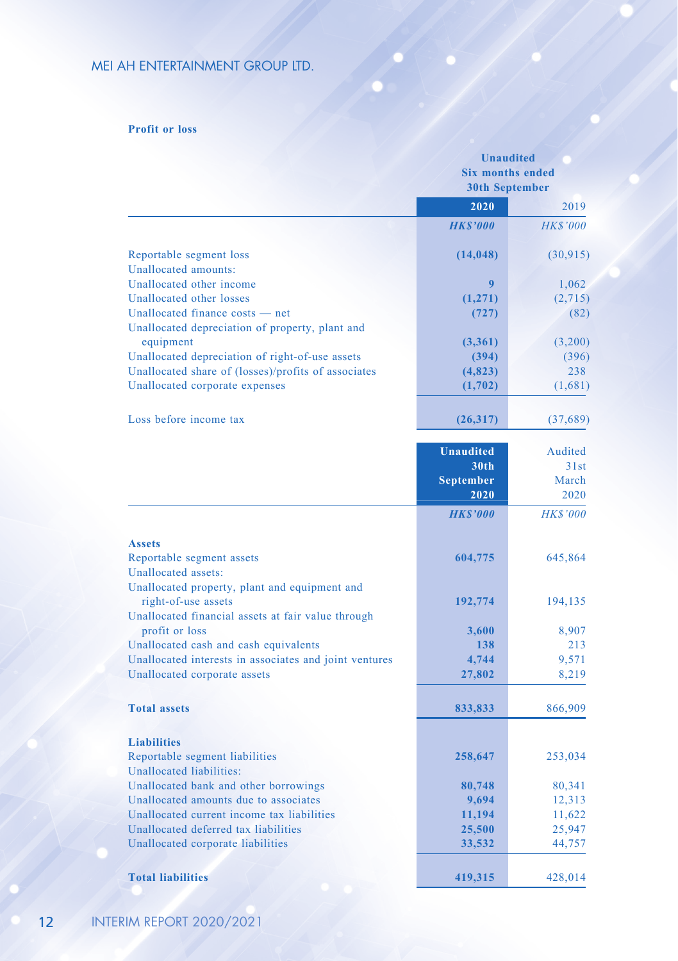#### **Profit or loss**

|                                                        |                  | <b>Unaudited</b><br><b>Six months ended</b><br><b>30th September</b> |
|--------------------------------------------------------|------------------|----------------------------------------------------------------------|
|                                                        | 2020             | 2019                                                                 |
|                                                        | <b>HKS'000</b>   | <b>HK\$'000</b>                                                      |
| Reportable segment loss                                | (14, 048)        | (30, 915)                                                            |
| Unallocated amounts:                                   |                  |                                                                      |
| Unallocated other income                               | 9                | 1,062                                                                |
| Unallocated other losses                               | (1,271)          | (2,715)                                                              |
| Unallocated finance costs — net                        | (727)            | (82)                                                                 |
| Unallocated depreciation of property, plant and        |                  |                                                                      |
| equipment                                              | (3,361)          | (3,200)                                                              |
| Unallocated depreciation of right-of-use assets        | (394)            | (396)                                                                |
| Unallocated share of (losses)/profits of associates    | (4,823)          | 238                                                                  |
| Unallocated corporate expenses                         | (1,702)          | (1,681)                                                              |
| Loss before income tax                                 | (26,317)         | (37, 689)                                                            |
|                                                        | <b>Unaudited</b> | Audited                                                              |
|                                                        | 30th             | 31st                                                                 |
|                                                        | <b>September</b> | March                                                                |
|                                                        | 2020             | 2020                                                                 |
|                                                        | <b>HKS'000</b>   | <b>HK\$'000</b>                                                      |
| <b>Assets</b>                                          |                  |                                                                      |
| Reportable segment assets                              | 604,775          | 645,864                                                              |
| Unallocated assets:                                    |                  |                                                                      |
| Unallocated property, plant and equipment and          |                  |                                                                      |
| right-of-use assets                                    | 192,774          | 194,135                                                              |
| Unallocated financial assets at fair value through     |                  |                                                                      |
| profit or loss                                         | 3,600            | 8,907                                                                |
| Unallocated cash and cash equivalents                  | 138              | 213                                                                  |
| Unallocated interests in associates and joint ventures | 4,744            | 9,571                                                                |
| Unallocated corporate assets                           | 27,802           | 8,219                                                                |
|                                                        |                  |                                                                      |
| <b>Total assets</b>                                    | 833,833          | 866,909                                                              |
| <b>Liabilities</b>                                     |                  |                                                                      |
| Reportable segment liabilities                         | 258,647          | 253,034                                                              |
| Unallocated liabilities:                               |                  |                                                                      |
| Unallocated bank and other borrowings                  | 80,748           | 80,341                                                               |
| Unallocated amounts due to associates                  | 9,694            | 12,313                                                               |
| Unallocated current income tax liabilities             | 11,194           | 11,622                                                               |
| Unallocated deferred tax liabilities                   | 25,500           | 25,947                                                               |
| Unallocated corporate liabilities                      | 33,532           | 44,757                                                               |
| <b>Total liabilities</b>                               | 419,315          | 428,014                                                              |
|                                                        |                  |                                                                      |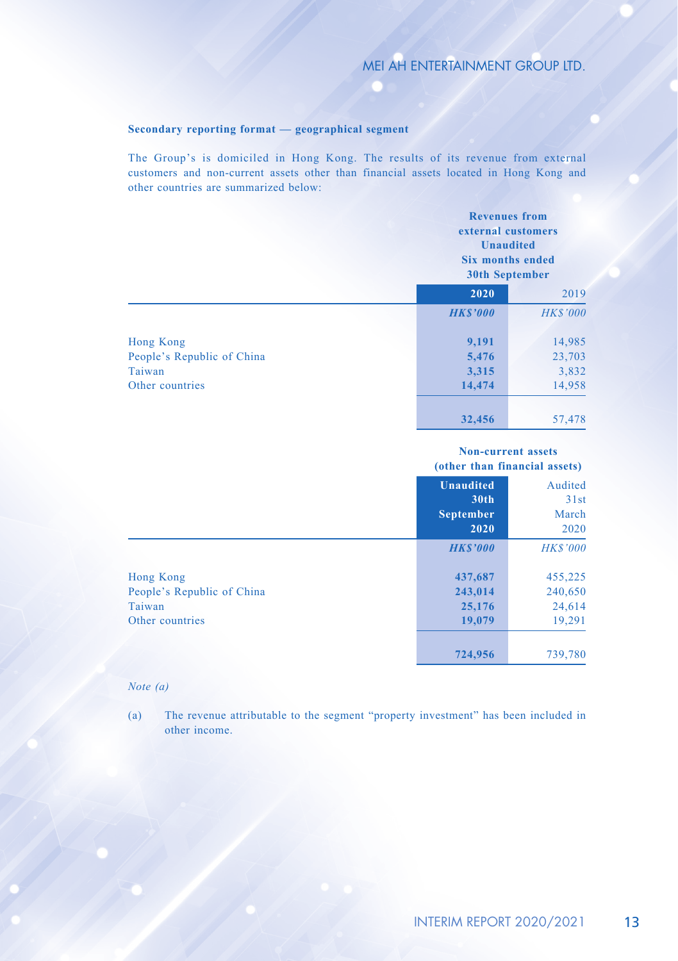#### **Secondary reporting format — geographical segment**

The Group's is domiciled in Hong Kong. The results of its revenue from external customers and non-current assets other than financial assets located in Hong Kong and other countries are summarized below:

|                            |                | <b>Revenues</b> from<br>external customers<br><b>Unaudited</b><br><b>Six months ended</b><br>30th September |  |
|----------------------------|----------------|-------------------------------------------------------------------------------------------------------------|--|
|                            | 2020           | 2019                                                                                                        |  |
|                            | <b>HKS'000</b> | <b>HK\$'000</b>                                                                                             |  |
| Hong Kong                  | 9,191          | 14,985                                                                                                      |  |
| People's Republic of China | 5,476          | 23,703                                                                                                      |  |
| Taiwan                     | 3,315          | 3,832                                                                                                       |  |
| Other countries            | 14,474         | 14,958                                                                                                      |  |
|                            | 32,456         | 57,478                                                                                                      |  |

#### **Non-current assets (other than financial assets)**

|                                                                      | <b>Unaudited</b><br>30 <sub>th</sub><br><b>September</b><br>2020 | Audited<br>31st<br>March<br>2020       |
|----------------------------------------------------------------------|------------------------------------------------------------------|----------------------------------------|
|                                                                      | <b>HKS'000</b>                                                   | <b>HK\$'000</b>                        |
| Hong Kong<br>People's Republic of China<br>Taiwan<br>Other countries | 437,687<br>243,014<br>25,176<br>19,079                           | 455,225<br>240,650<br>24,614<br>19,291 |
|                                                                      | 724,956                                                          | 739,780                                |

#### *Note (a)*

(a) The revenue attributable to the segment "property investment" has been included in other income.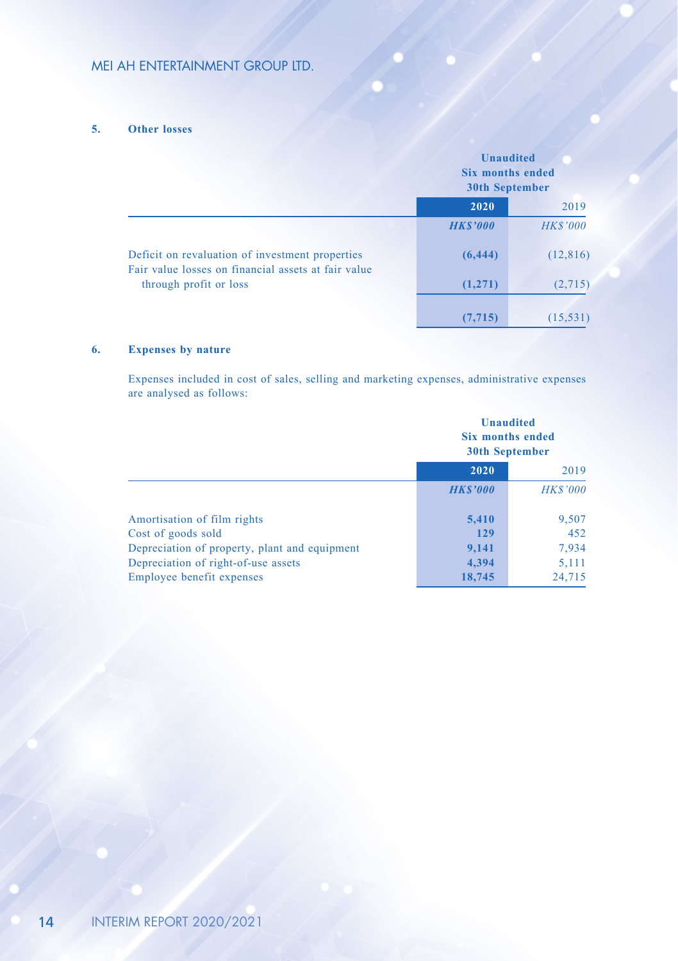#### **5. Other losses**

|                                                                                                        | <b>Unaudited</b><br><b>Six months ended</b><br><b>30th September</b> |                 |
|--------------------------------------------------------------------------------------------------------|----------------------------------------------------------------------|-----------------|
|                                                                                                        | 2020                                                                 | 2019            |
|                                                                                                        | <b>HK\$'000</b>                                                      | <b>HK\$'000</b> |
| Deficit on revaluation of investment properties<br>Fair value losses on financial assets at fair value | (6, 444)                                                             | (12, 816)       |
| through profit or loss                                                                                 | (1,271)                                                              | (2,715)         |
|                                                                                                        | (7, 715)                                                             | (15, 531)       |

#### **6. Expenses by nature**

Expenses included in cost of sales, selling and marketing expenses, administrative expenses are analysed as follows:

|                                               |                | <b>Unaudited</b><br>Six months ended<br><b>30th September</b> |
|-----------------------------------------------|----------------|---------------------------------------------------------------|
|                                               | 2020<br>2019   |                                                               |
|                                               | <b>HKS'000</b> | <b>HK\$'000</b>                                               |
| Amortisation of film rights                   | 5,410          | 9,507                                                         |
| Cost of goods sold                            | 129            | 452                                                           |
| Depreciation of property, plant and equipment | 9,141          | 7,934                                                         |
| Depreciation of right-of-use assets           | 4,394          | 5,111                                                         |
| Employee benefit expenses                     | 18,745         | 24,715                                                        |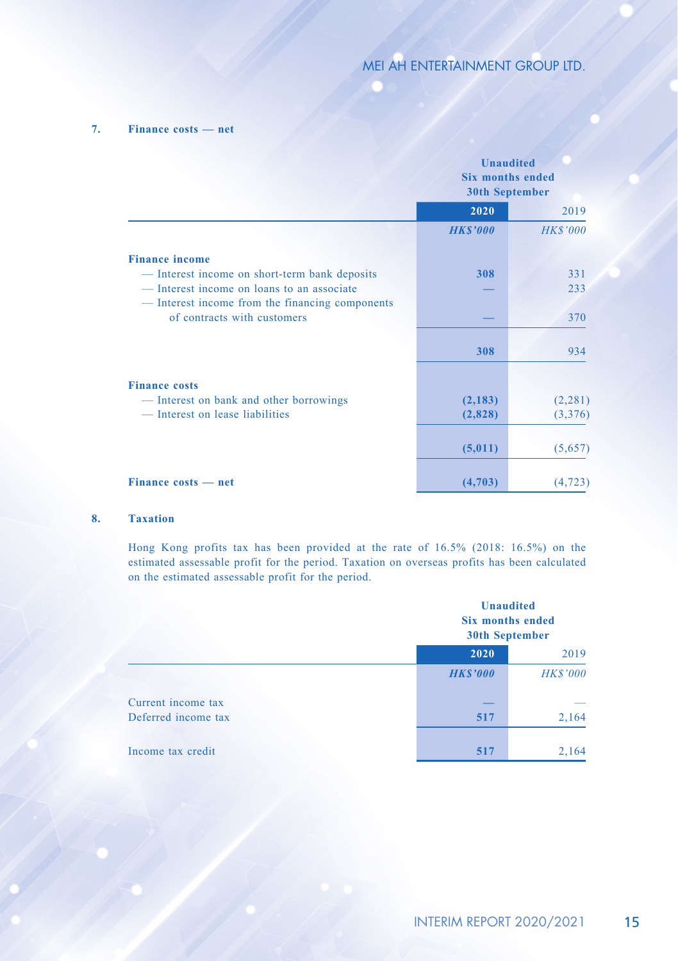#### **7. Finance costs — net**

|                                                 | <b>Unaudited</b><br><b>Six months ended</b><br><b>30th September</b> |                 |
|-------------------------------------------------|----------------------------------------------------------------------|-----------------|
|                                                 | 2020                                                                 | 2019            |
|                                                 | <b>HK\$'000</b>                                                      | <b>HK\$'000</b> |
| <b>Finance income</b>                           |                                                                      |                 |
| — Interest income on short-term bank deposits   | 308                                                                  | 331             |
| - Interest income on loans to an associate      |                                                                      | 233             |
| — Interest income from the financing components |                                                                      |                 |
| of contracts with customers                     |                                                                      | 370             |
|                                                 | 308                                                                  | 934             |
| <b>Finance costs</b>                            |                                                                      |                 |
| - Interest on bank and other borrowings         | (2, 183)                                                             | (2, 281)        |
| — Interest on lease liabilities                 | (2,828)                                                              | (3,376)         |
|                                                 | (5,011)                                                              | (5,657)         |
| Finance costs — net                             | (4,703)                                                              | (4, 723)        |

#### **8. Taxation**

Hong Kong profits tax has been provided at the rate of 16.5% (2018: 16.5%) on the estimated assessable profit for the period. Taxation on overseas profits has been calculated on the estimated assessable profit for the period.

|                     |                 | <b>Unaudited</b><br><b>Six months ended</b><br>30th September |
|---------------------|-----------------|---------------------------------------------------------------|
|                     | 2020            | 2019                                                          |
|                     | <b>HK\$'000</b> | <b>HK\$'000</b>                                               |
| Current income tax  |                 |                                                               |
| Deferred income tax | 517             | 2,164                                                         |
| Income tax credit   | 517             | 2,164                                                         |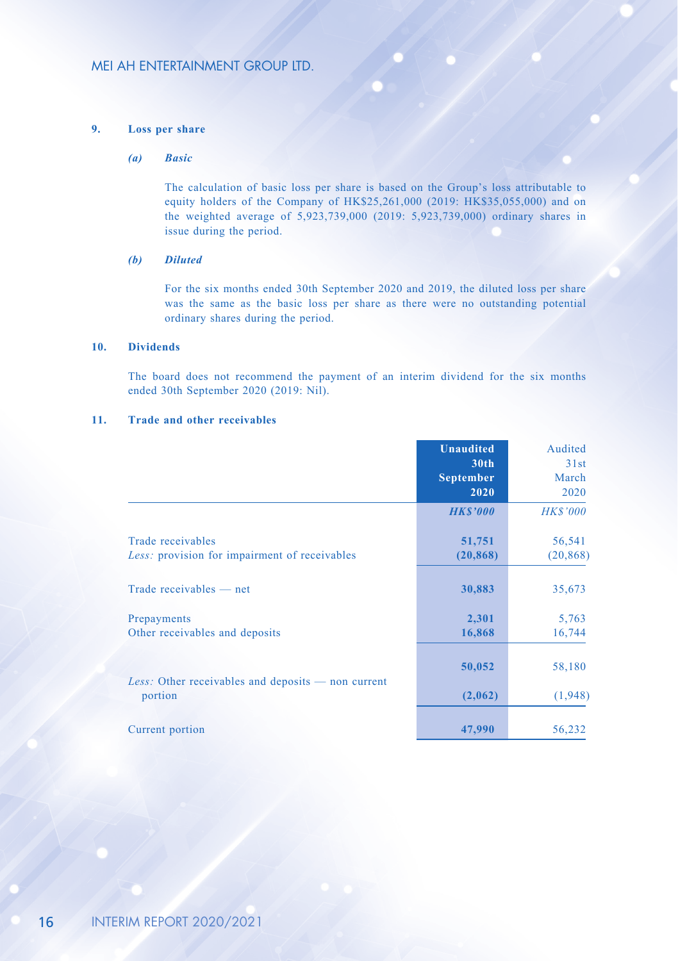#### **9. Loss per share**

#### *(a) Basic*

The calculation of basic loss per share is based on the Group's loss attributable to equity holders of the Company of HK\$25,261,000 (2019: HK\$35,055,000) and on the weighted average of 5,923,739,000 (2019: 5,923,739,000) ordinary shares in issue during the period.

#### *(b) Diluted*

For the six months ended 30th September 2020 and 2019, the diluted loss per share was the same as the basic loss per share as there were no outstanding potential ordinary shares during the period.

#### **10. Dividends**

The board does not recommend the payment of an interim dividend for the six months ended 30th September 2020 (2019: Nil).

#### **11. Trade and other receivables**

|                                                                        | <b>Unaudited</b><br>30 <sub>th</sub><br><b>September</b><br>2020 | Audited<br>31st<br>March<br>2020 |
|------------------------------------------------------------------------|------------------------------------------------------------------|----------------------------------|
|                                                                        | <b>HKS'000</b>                                                   | <b>HK\$'000</b>                  |
| Trade receivables<br>Less: provision for impairment of receivables     | 51,751<br>(20, 868)                                              | 56,541<br>(20, 868)              |
| Trade receivables — net                                                | 30,883                                                           | 35,673                           |
| Prepayments<br>Other receivables and deposits                          | 2,301<br>16,868                                                  | 5,763<br>16,744                  |
| <i>Less:</i> Other receivables and deposits $-$ non current<br>portion | 50,052<br>(2,062)                                                | 58,180<br>(1,948)                |
| Current portion                                                        | 47,990                                                           | 56,232                           |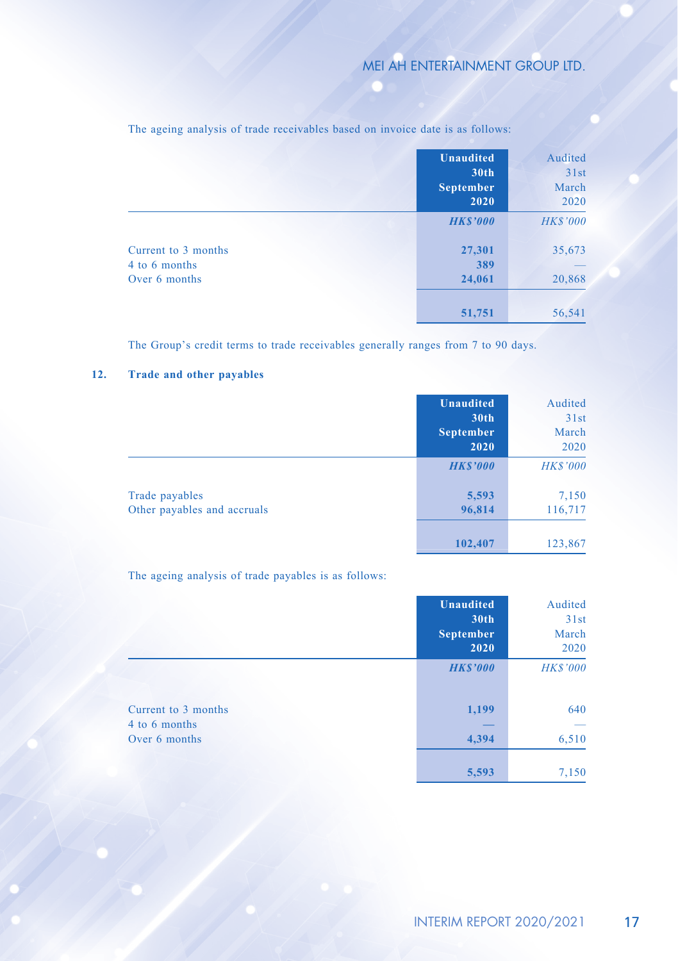|                                                       | <b>Unaudited</b><br>30th<br><b>September</b><br>2020 | Audited<br>31st<br>March<br>2020 |
|-------------------------------------------------------|------------------------------------------------------|----------------------------------|
|                                                       | <b>HK\$'000</b>                                      | <b>HK\$'000</b>                  |
| Current to 3 months<br>4 to 6 months<br>Over 6 months | 27,301<br>389<br>24,061                              | 35,673<br>20,868                 |
|                                                       | 51,751                                               | 56,541                           |

The ageing analysis of trade receivables based on invoice date is as follows:

The Group's credit terms to trade receivables generally ranges from 7 to 90 days.

#### **12. Trade and other payables**

|                                               | <b>Unaudited</b><br>30th<br><b>September</b><br>2020 | Audited<br>31st<br>March<br>2020 |
|-----------------------------------------------|------------------------------------------------------|----------------------------------|
|                                               | <b>HK\$'000</b>                                      | <b>HK\$'000</b>                  |
| Trade payables<br>Other payables and accruals | 5,593<br>96,814                                      | 7,150<br>116,717                 |
|                                               | 102,407                                              | 123,867                          |

The ageing analysis of trade payables is as follows:

|                                      | <b>Unaudited</b><br>30th<br><b>September</b><br>2020 | Audited<br>31st<br>March<br>2020 |
|--------------------------------------|------------------------------------------------------|----------------------------------|
|                                      | <b>HKS'000</b>                                       | <b>HK\$'000</b>                  |
| Current to 3 months<br>4 to 6 months | 1,199                                                | 640                              |
| Over 6 months                        | 4,394                                                | 6,510                            |
|                                      | 5,593                                                | 7,150                            |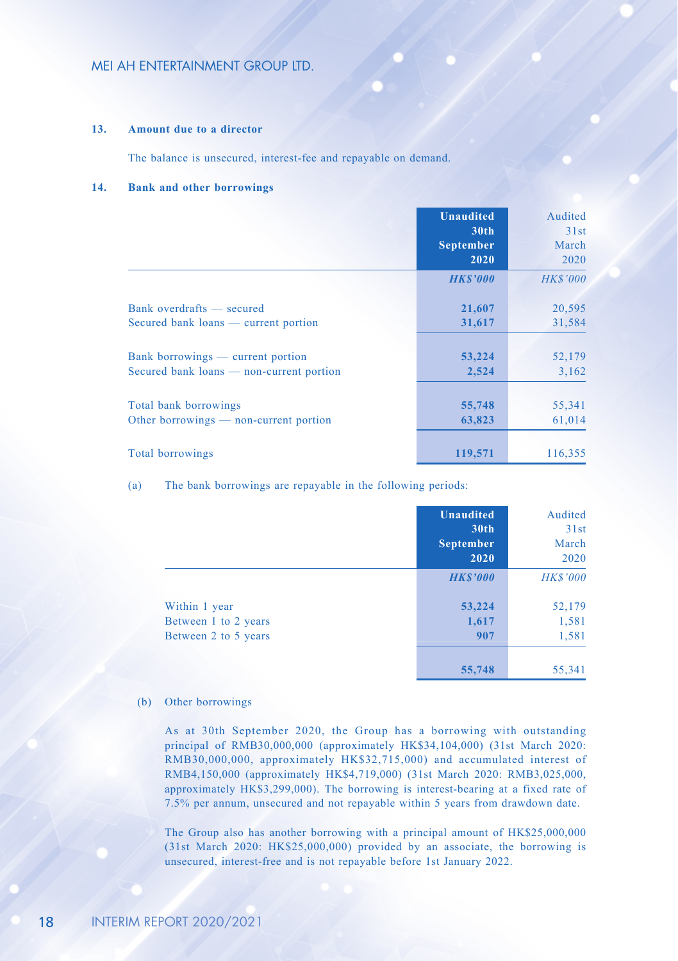#### **13. Amount due to a director**

The balance is unsecured, interest-fee and repayable on demand.

#### **14. Bank and other borrowings**

|                                          | <b>Unaudited</b><br>30 <sub>th</sub><br><b>September</b><br>2020 | Audited<br>31st<br>March<br>2020 |
|------------------------------------------|------------------------------------------------------------------|----------------------------------|
|                                          | <b>HKS'000</b>                                                   | <b>HK\$'000</b>                  |
| Bank overdrafts — secured                | 21,607                                                           | 20,595                           |
| Secured bank loans — current portion     | 31,617                                                           | 31,584                           |
| Bank borrowings — current portion        | 53,224                                                           | 52,179                           |
| Secured bank loans — non-current portion | 2,524                                                            | 3,162                            |
| Total bank borrowings                    | 55,748                                                           | 55,341                           |
| Other borrowings — non-current portion   | 63,823                                                           | 61,014                           |
| <b>Total borrowings</b>                  | 119,571                                                          | 116,355                          |

(a) The bank borrowings are repayable in the following periods:

|                      | <b>Unaudited</b><br>30 <sub>th</sub><br><b>September</b><br>2020 | Audited<br>31st<br>March<br>2020 |
|----------------------|------------------------------------------------------------------|----------------------------------|
|                      | <b>HKS'000</b>                                                   | <b>HK\$'000</b>                  |
| Within 1 year        | 53,224                                                           | 52,179                           |
| Between 1 to 2 years | 1,617                                                            | 1,581                            |
| Between 2 to 5 years | 907                                                              | 1,581                            |
|                      | 55,748                                                           | 55,341                           |

#### (b) Other borrowings

As at 30th September 2020, the Group has a borrowing with outstanding principal of RMB30,000,000 (approximately HK\$34,104,000) (31st March 2020: RMB30,000,000, approximately HK\$32,715,000) and accumulated interest of RMB4,150,000 (approximately HK\$4,719,000) (31st March 2020: RMB3,025,000, approximately HK\$3,299,000). The borrowing is interest-bearing at a fixed rate of 7.5% per annum, unsecured and not repayable within 5 years from drawdown date.

The Group also has another borrowing with a principal amount of HK\$25,000,000 (31st March 2020: HK\$25,000,000) provided by an associate, the borrowing is unsecured, interest-free and is not repayable before 1st January 2022.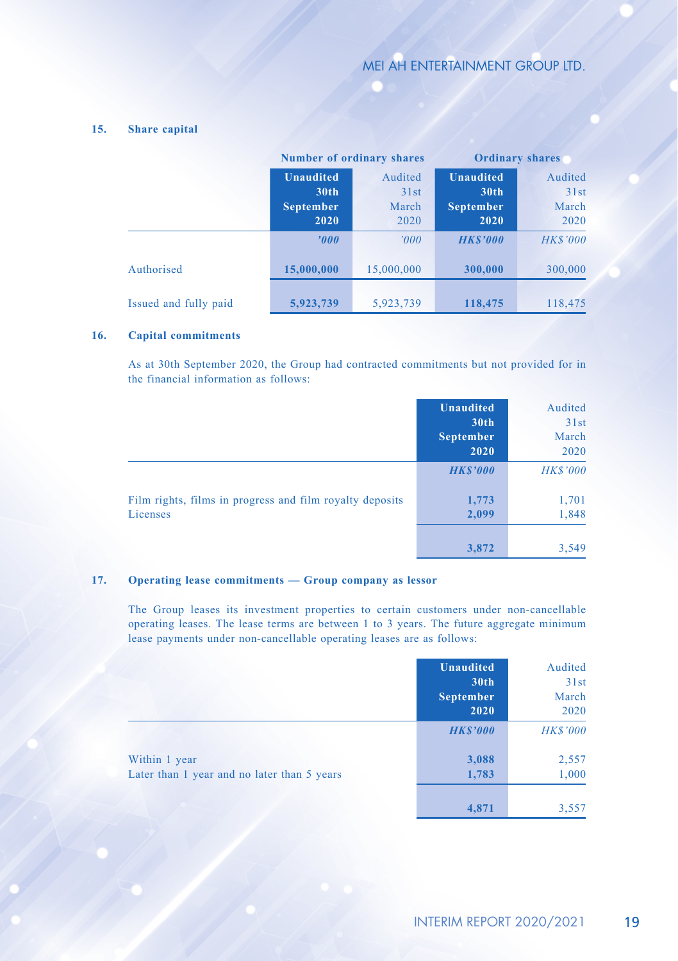#### **15. Share capital**

|                       | <b>Number of ordinary shares</b> |            | <b>Ordinary shares</b> |                 |
|-----------------------|----------------------------------|------------|------------------------|-----------------|
|                       | <b>Unaudited</b>                 | Audited    | <b>Unaudited</b>       | Audited         |
|                       | 30 <sub>th</sub>                 | 31st       | 30 <sub>th</sub>       | 31st            |
|                       | <b>September</b>                 | March      | <b>September</b>       | March           |
|                       | 2020                             | 2020       | 2020                   | 2020            |
|                       | '000                             | '000'      | <b>HKS'000</b>         | <b>HK\$'000</b> |
| Authorised            | 15,000,000                       | 15,000,000 | 300,000                | 300,000         |
| Issued and fully paid | 5,923,739                        | 5,923,739  | 118,475                | 118,475         |

#### **16. Capital commitments**

As at 30th September 2020, the Group had contracted commitments but not provided for in the financial information as follows:

|                                                                      | <b>Unaudited</b><br>30th<br><b>September</b><br>2020 | Audited<br>31st<br>March<br>2020 |
|----------------------------------------------------------------------|------------------------------------------------------|----------------------------------|
|                                                                      | <b>HKS'000</b>                                       | <b>HK\$'000</b>                  |
| Film rights, films in progress and film royalty deposits<br>Licenses | 1,773<br>2,099                                       | 1,701<br>1,848                   |
|                                                                      | 3,872                                                | 3.549                            |

#### **17. Operating lease commitments — Group company as lessor**

The Group leases its investment properties to certain customers under non-cancellable operating leases. The lease terms are between 1 to 3 years. The future aggregate minimum lease payments under non-cancellable operating leases are as follows:

|                                                              | <b>Unaudited</b><br>30 <sub>th</sub><br><b>September</b><br>2020 | Audited<br>31st<br>March<br>2020 |
|--------------------------------------------------------------|------------------------------------------------------------------|----------------------------------|
|                                                              | <b>HK\$'000</b>                                                  | <b>HK\$'000</b>                  |
| Within 1 year<br>Later than 1 year and no later than 5 years | 3,088<br>1,783                                                   | 2,557<br>1,000                   |
|                                                              | 4,871                                                            | 3,557                            |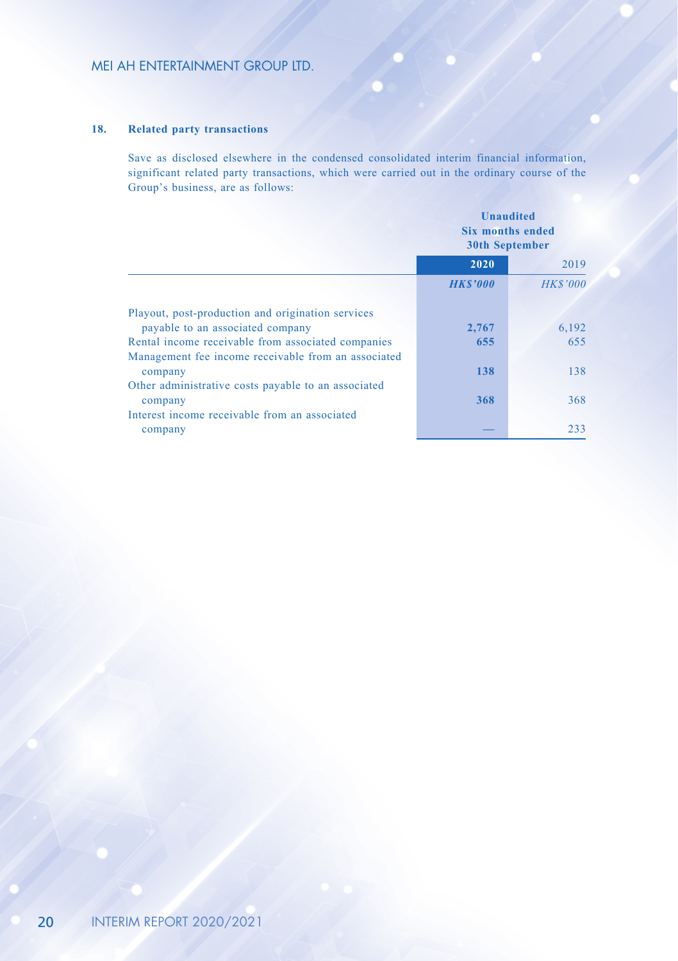#### **18. Related party transactions**

Save as disclosed elsewhere in the condensed consolidated interim financial information, significant related party transactions, which were carried out in the ordinary course of the Group's business, are as follows:

|                                                                                                           | <b>Unaudited</b><br><b>Six months ended</b><br><b>30th September</b> |                 |
|-----------------------------------------------------------------------------------------------------------|----------------------------------------------------------------------|-----------------|
|                                                                                                           | 2020                                                                 | 2019            |
|                                                                                                           | <b>HKS'000</b>                                                       | <b>HK\$'000</b> |
| Playout, post-production and origination services<br>payable to an associated company                     | 2,767                                                                | 6,192           |
| Rental income receivable from associated companies<br>Management fee income receivable from an associated | 655                                                                  | 655             |
| company                                                                                                   | 138                                                                  | 138             |
| Other administrative costs payable to an associated<br>company                                            | 368                                                                  | 368             |
| Interest income receivable from an associated<br>company                                                  |                                                                      | 233             |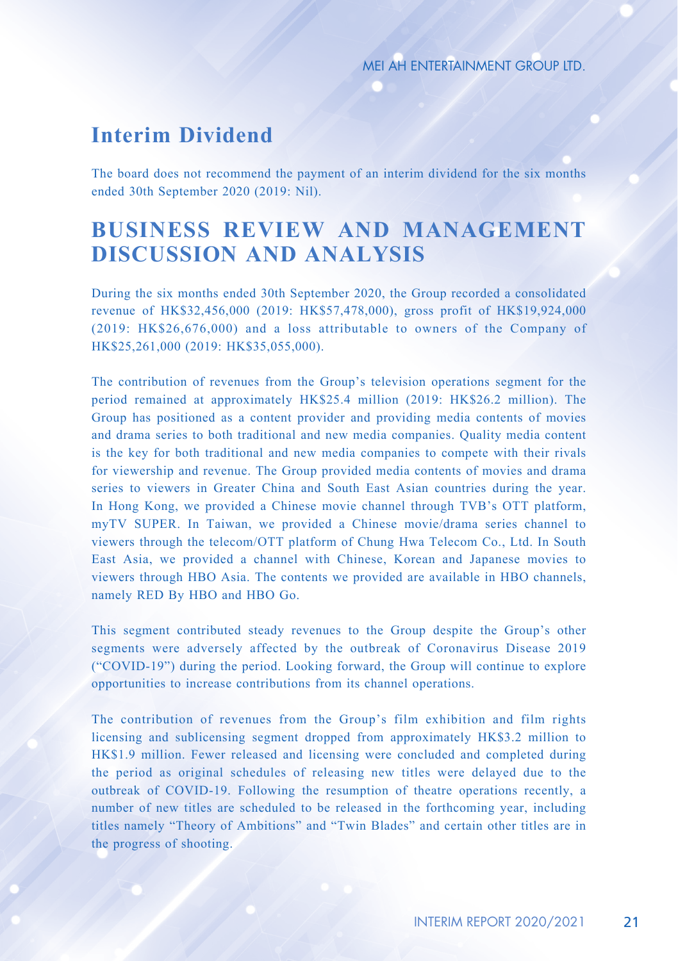## **Interim Dividend**

The board does not recommend the payment of an interim dividend for the six months ended 30th September 2020 (2019: Nil).

# **BUSINESS REVIEW AND MANAGEMENT DISCUSSION AND ANALYSIS**

During the six months ended 30th September 2020, the Group recorded a consolidated revenue of HK\$32,456,000 (2019: HK\$57,478,000), gross profit of HK\$19,924,000 (2019: HK\$26,676,000) and a loss attributable to owners of the Company of HK\$25,261,000 (2019: HK\$35,055,000).

The contribution of revenues from the Group's television operations segment for the period remained at approximately HK\$25.4 million (2019: HK\$26.2 million). The Group has positioned as a content provider and providing media contents of movies and drama series to both traditional and new media companies. Quality media content is the key for both traditional and new media companies to compete with their rivals for viewership and revenue. The Group provided media contents of movies and drama series to viewers in Greater China and South East Asian countries during the year. In Hong Kong, we provided a Chinese movie channel through TVB's OTT platform, myTV SUPER. In Taiwan, we provided a Chinese movie/drama series channel to viewers through the telecom/OTT platform of Chung Hwa Telecom Co., Ltd. In South East Asia, we provided a channel with Chinese, Korean and Japanese movies to viewers through HBO Asia. The contents we provided are available in HBO channels, namely RED By HBO and HBO Go.

This segment contributed steady revenues to the Group despite the Group's other segments were adversely affected by the outbreak of Coronavirus Disease 2019 ("COVID-19") during the period. Looking forward, the Group will continue to explore opportunities to increase contributions from its channel operations.

The contribution of revenues from the Group's film exhibition and film rights licensing and sublicensing segment dropped from approximately HK\$3.2 million to HK\$1.9 million. Fewer released and licensing were concluded and completed during the period as original schedules of releasing new titles were delayed due to the outbreak of COVID-19. Following the resumption of theatre operations recently, a number of new titles are scheduled to be released in the forthcoming year, including titles namely "Theory of Ambitions" and "Twin Blades" and certain other titles are in the progress of shooting.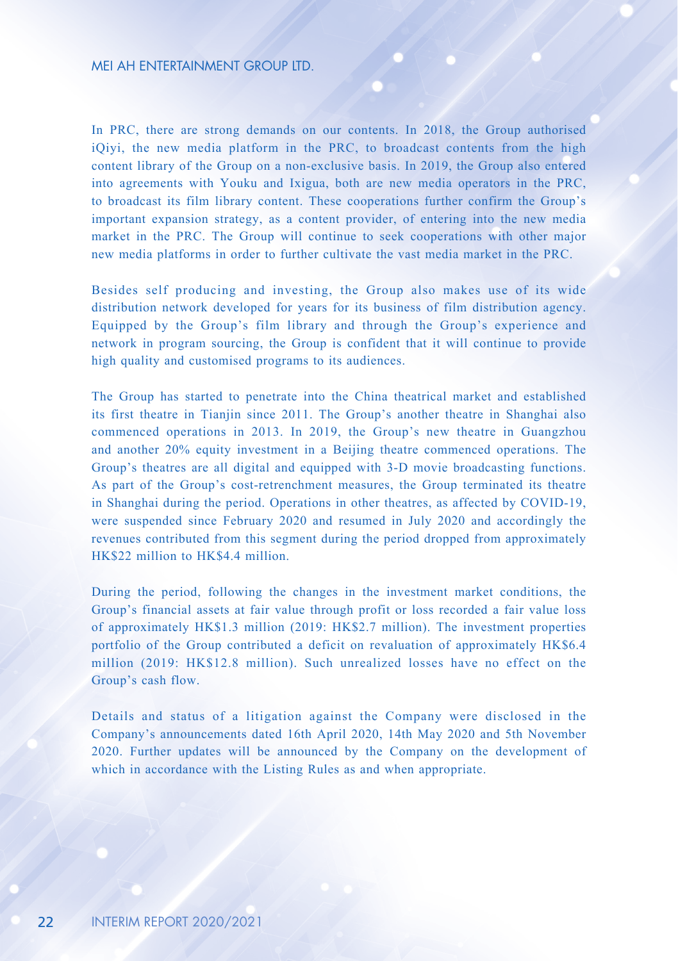In PRC, there are strong demands on our contents. In 2018, the Group authorised iQiyi, the new media platform in the PRC, to broadcast contents from the high content library of the Group on a non-exclusive basis. In 2019, the Group also entered into agreements with Youku and Ixigua, both are new media operators in the PRC, to broadcast its film library content. These cooperations further confirm the Group's important expansion strategy, as a content provider, of entering into the new media market in the PRC. The Group will continue to seek cooperations with other major new media platforms in order to further cultivate the vast media market in the PRC.

Besides self producing and investing, the Group also makes use of its wide distribution network developed for years for its business of film distribution agency. Equipped by the Group's film library and through the Group's experience and network in program sourcing, the Group is confident that it will continue to provide high quality and customised programs to its audiences.

The Group has started to penetrate into the China theatrical market and established its first theatre in Tianjin since 2011. The Group's another theatre in Shanghai also commenced operations in 2013. In 2019, the Group's new theatre in Guangzhou and another 20% equity investment in a Beijing theatre commenced operations. The Group's theatres are all digital and equipped with 3-D movie broadcasting functions. As part of the Group's cost-retrenchment measures, the Group terminated its theatre in Shanghai during the period. Operations in other theatres, as affected by COVID-19, were suspended since February 2020 and resumed in July 2020 and accordingly the revenues contributed from this segment during the period dropped from approximately HK\$22 million to HK\$4.4 million.

During the period, following the changes in the investment market conditions, the Group's financial assets at fair value through profit or loss recorded a fair value loss of approximately HK\$1.3 million (2019: HK\$2.7 million). The investment properties portfolio of the Group contributed a deficit on revaluation of approximately HK\$6.4 million (2019: HK\$12.8 million). Such unrealized losses have no effect on the Group's cash flow.

Details and status of a litigation against the Company were disclosed in the Company's announcements dated 16th April 2020, 14th May 2020 and 5th November 2020. Further updates will be announced by the Company on the development of which in accordance with the Listing Rules as and when appropriate.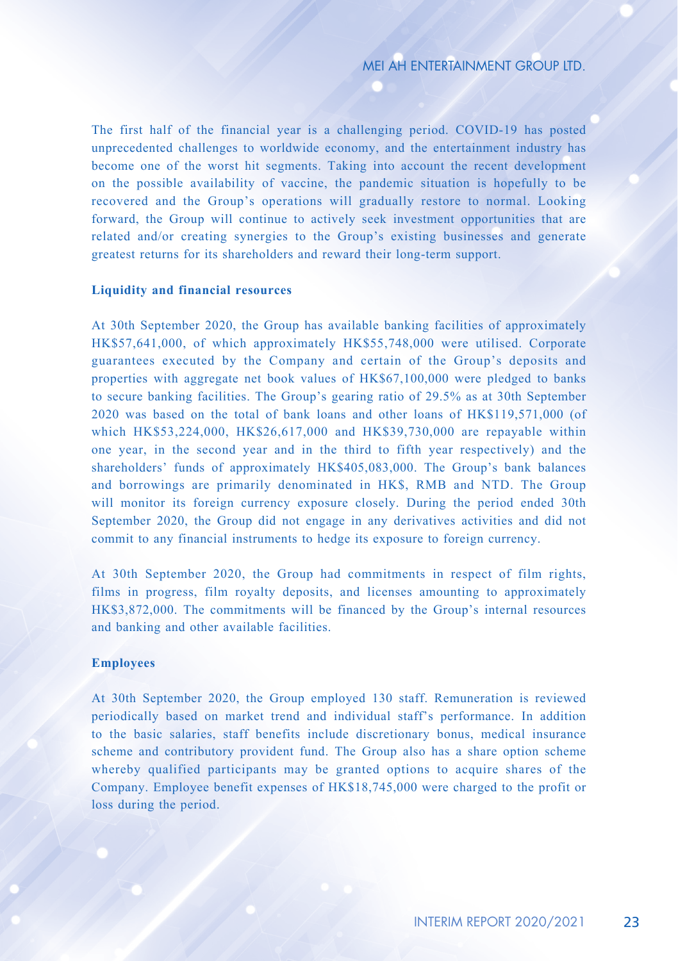The first half of the financial year is a challenging period. COVID-19 has posted unprecedented challenges to worldwide economy, and the entertainment industry has become one of the worst hit segments. Taking into account the recent development on the possible availability of vaccine, the pandemic situation is hopefully to be recovered and the Group's operations will gradually restore to normal. Looking forward, the Group will continue to actively seek investment opportunities that are related and/or creating synergies to the Group's existing businesses and generate greatest returns for its shareholders and reward their long-term support.

#### **Liquidity and financial resources**

At 30th September 2020, the Group has available banking facilities of approximately HK\$57,641,000, of which approximately HK\$55,748,000 were utilised. Corporate guarantees executed by the Company and certain of the Group's deposits and properties with aggregate net book values of HK\$67,100,000 were pledged to banks to secure banking facilities. The Group's gearing ratio of 29.5% as at 30th September 2020 was based on the total of bank loans and other loans of HK\$119,571,000 (of which HK\$53,224,000, HK\$26,617,000 and HK\$39,730,000 are repayable within one year, in the second year and in the third to fifth year respectively) and the shareholders' funds of approximately HK\$405,083,000. The Group's bank balances and borrowings are primarily denominated in HK\$, RMB and NTD. The Group will monitor its foreign currency exposure closely. During the period ended 30th September 2020, the Group did not engage in any derivatives activities and did not commit to any financial instruments to hedge its exposure to foreign currency.

At 30th September 2020, the Group had commitments in respect of film rights, films in progress, film royalty deposits, and licenses amounting to approximately HK\$3,872,000. The commitments will be financed by the Group's internal resources and banking and other available facilities.

#### **Employees**

At 30th September 2020, the Group employed 130 staff. Remuneration is reviewed periodically based on market trend and individual staff's performance. In addition to the basic salaries, staff benefits include discretionary bonus, medical insurance scheme and contributory provident fund. The Group also has a share option scheme whereby qualified participants may be granted options to acquire shares of the Company. Employee benefit expenses of HK\$18,745,000 were charged to the profit or loss during the period.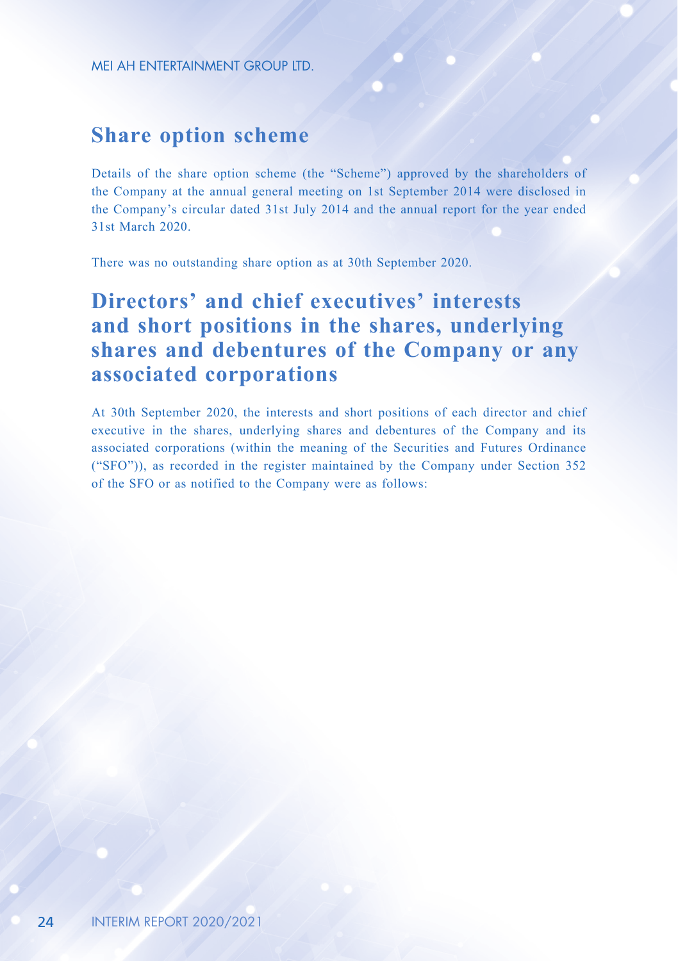### **Share option scheme**

Details of the share option scheme (the "Scheme") approved by the shareholders of the Company at the annual general meeting on 1st September 2014 were disclosed in the Company's circular dated 31st July 2014 and the annual report for the year ended 31st March 2020.

There was no outstanding share option as at 30th September 2020.

# **Directors' and chief executives' interests and short positions in the shares, underlying shares and debentures of the Company or any associated corporations**

At 30th September 2020, the interests and short positions of each director and chief executive in the shares, underlying shares and debentures of the Company and its associated corporations (within the meaning of the Securities and Futures Ordinance ("SFO")), as recorded in the register maintained by the Company under Section 352 of the SFO or as notified to the Company were as follows: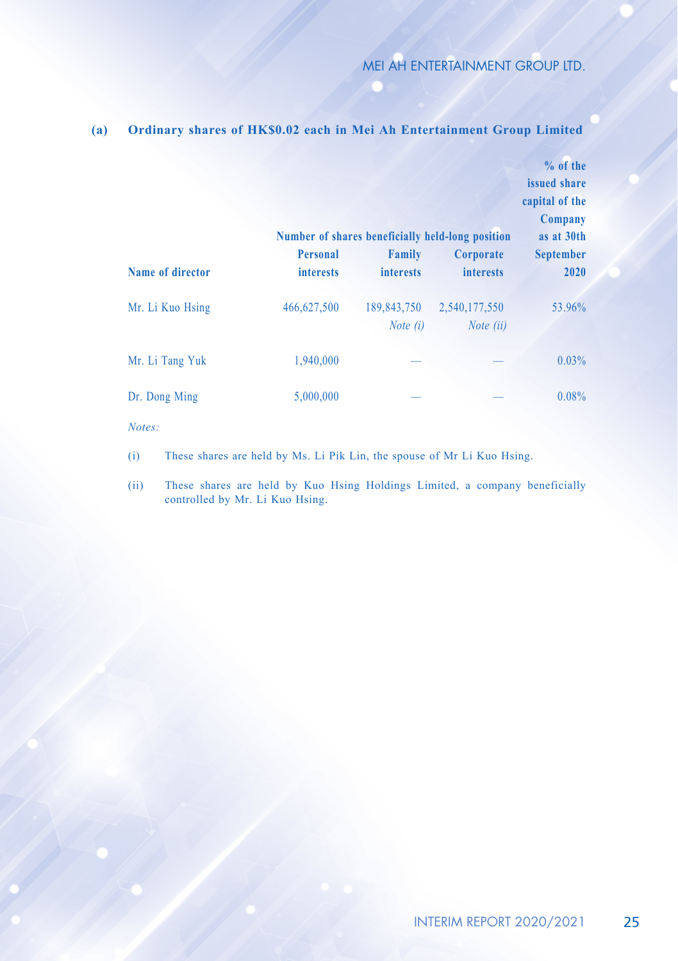|                  |                                     |                                  | Number of shares beneficially held-long position | $%$ of the<br>issued share<br>capital of the<br>Company<br>as at 30th |
|------------------|-------------------------------------|----------------------------------|--------------------------------------------------|-----------------------------------------------------------------------|
| Name of director | <b>Personal</b><br><i>interests</i> | Family<br><i>interests</i>       | Corporate<br><i>interests</i>                    | <b>September</b><br>2020                                              |
| Mr. Li Kuo Hsing | 466,627,500                         | 189,843,750<br><i>Note</i> $(i)$ | 2,540,177,550<br><i>Note</i> $(ii)$              | 53.96%                                                                |
| Mr. Li Tang Yuk  | 1,940,000                           |                                  |                                                  | 0.03%                                                                 |
| Dr. Dong Ming    | 5,000,000                           |                                  |                                                  | 0.08%                                                                 |

**(a) Ordinary shares of HK\$0.02 each in Mei Ah Entertainment Group Limited**

*Notes:*

(i) These shares are held by Ms. Li Pik Lin, the spouse of Mr Li Kuo Hsing.

(ii) These shares are held by Kuo Hsing Holdings Limited, a company beneficially controlled by Mr. Li Kuo Hsing.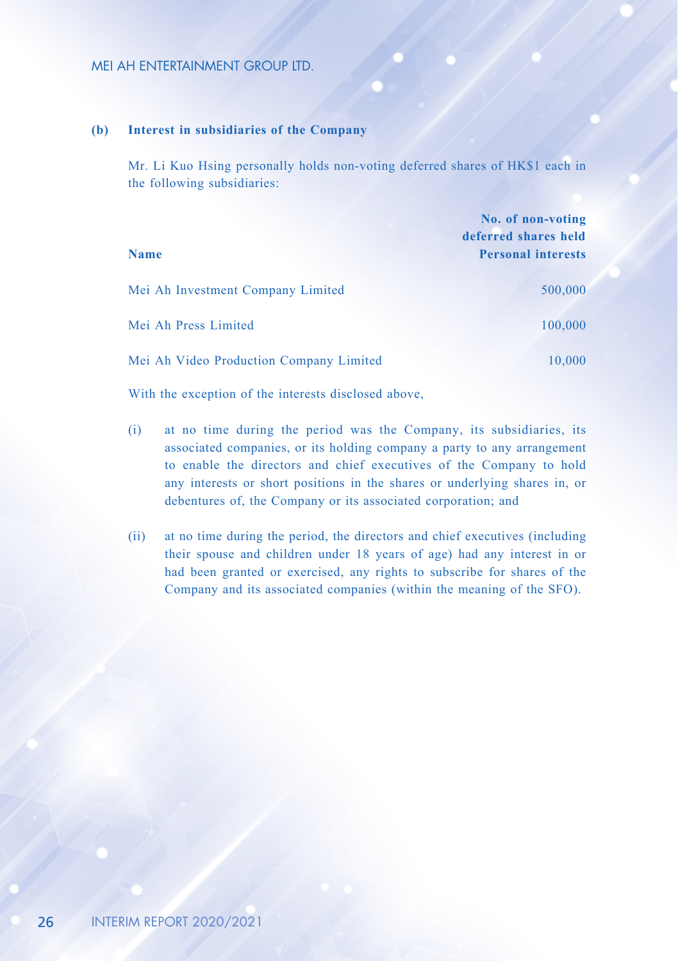#### **(b) Interest in subsidiaries of the Company**

Mr. Li Kuo Hsing personally holds non-voting deferred shares of HK\$1 each in the following subsidiaries:

| <b>Name</b>                             | No. of non-voting<br>deferred shares held<br><b>Personal interests</b> |
|-----------------------------------------|------------------------------------------------------------------------|
| Mei Ah Investment Company Limited       | 500,000                                                                |
| Mei Ah Press Limited                    | 100,000                                                                |
| Mei Ah Video Production Company Limited | 10,000                                                                 |

With the exception of the interests disclosed above,

- (i) at no time during the period was the Company, its subsidiaries, its associated companies, or its holding company a party to any arrangement to enable the directors and chief executives of the Company to hold any interests or short positions in the shares or underlying shares in, or debentures of, the Company or its associated corporation; and
- (ii) at no time during the period, the directors and chief executives (including their spouse and children under 18 years of age) had any interest in or had been granted or exercised, any rights to subscribe for shares of the Company and its associated companies (within the meaning of the SFO).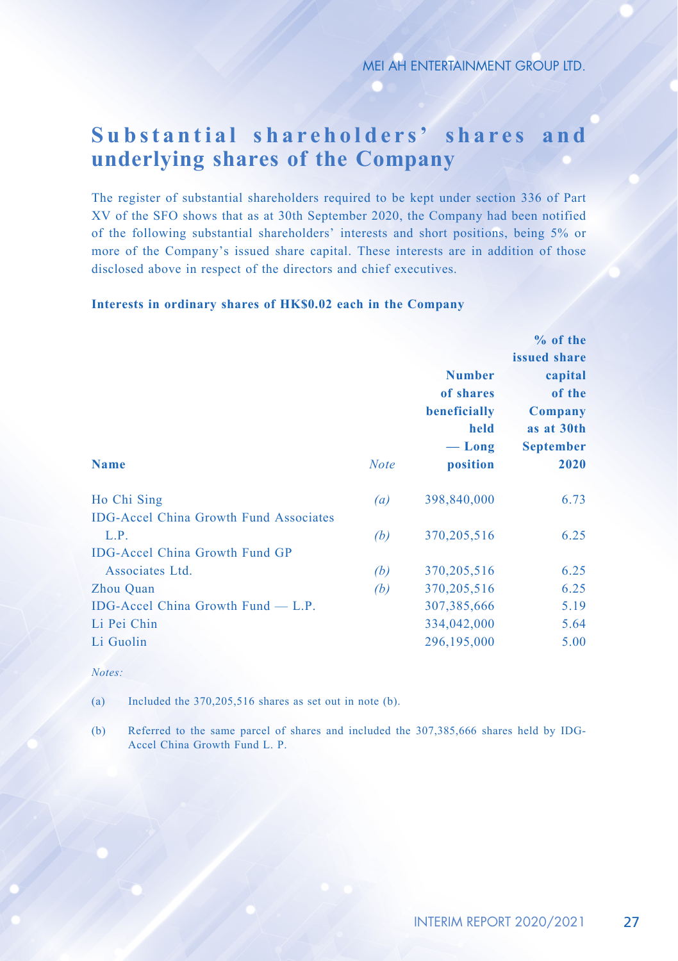# **Substantial shareholders' shares and underlying shares of the Company**

The register of substantial shareholders required to be kept under section 336 of Part XV of the SFO shows that as at 30th September 2020, the Company had been notified of the following substantial shareholders' interests and short positions, being 5% or more of the Company's issued share capital. These interests are in addition of those disclosed above in respect of the directors and chief executives.

#### **Interests in ordinary shares of HK\$0.02 each in the Company**

|                                               |             |                                                                          | % of the                                                                               |  |
|-----------------------------------------------|-------------|--------------------------------------------------------------------------|----------------------------------------------------------------------------------------|--|
|                                               |             |                                                                          | issued share<br>capital<br>of the<br>Company<br>as at 30th<br><b>September</b><br>2020 |  |
|                                               |             | <b>Number</b>                                                            |                                                                                        |  |
|                                               |             | of shares<br>beneficially<br>held<br>$-\mathop{\text{Long}}$<br>position |                                                                                        |  |
|                                               | <b>Note</b> |                                                                          |                                                                                        |  |
|                                               |             |                                                                          |                                                                                        |  |
|                                               |             |                                                                          |                                                                                        |  |
| <b>Name</b>                                   |             |                                                                          |                                                                                        |  |
| Ho Chi Sing                                   | (a)         | 398,840,000                                                              | 6.73                                                                                   |  |
| <b>IDG-Accel China Growth Fund Associates</b> |             |                                                                          |                                                                                        |  |
| L.P.                                          | (b)         | 370, 205, 516                                                            | 6.25                                                                                   |  |
| <b>IDG-Accel China Growth Fund GP</b>         |             |                                                                          |                                                                                        |  |
| Associates Ltd.                               | (b)         | 370, 205, 516                                                            | 6.25                                                                                   |  |
| Zhou Quan                                     | (b)         | 370, 205, 516                                                            | 6.25                                                                                   |  |
| IDG-Accel China Growth Fund $-$ L.P.          |             | 307, 385, 666                                                            | 5.19                                                                                   |  |
| Li Pei Chin                                   |             | 334,042,000                                                              | 5.64                                                                                   |  |
| Li Guolin                                     |             | 296,195,000                                                              | 5.00                                                                                   |  |
|                                               |             |                                                                          |                                                                                        |  |

#### *Notes:*

(a) Included the 370,205,516 shares as set out in note (b).

(b) Referred to the same parcel of shares and included the 307,385,666 shares held by IDG-Accel China Growth Fund L. P.